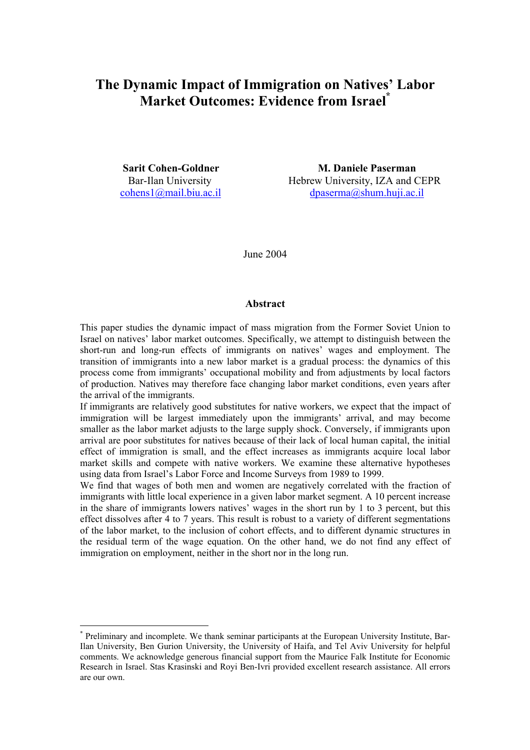# **The Dynamic Impact of Immigration on Natives' Labor Market Outcomes: Evidence from Israel\***

 $\overline{a}$ 

**Sarit Cohen-Goldner M. Daniele Paserman**  Bar-Ilan University Hebrew University, IZA and CEPR cohens1@mail.biu.ac.il dpaserma@shum.huji.ac.il

June 2004

### **Abstract**

This paper studies the dynamic impact of mass migration from the Former Soviet Union to Israel on natives' labor market outcomes. Specifically, we attempt to distinguish between the short-run and long-run effects of immigrants on natives' wages and employment. The transition of immigrants into a new labor market is a gradual process: the dynamics of this process come from immigrants' occupational mobility and from adjustments by local factors of production. Natives may therefore face changing labor market conditions, even years after the arrival of the immigrants.

If immigrants are relatively good substitutes for native workers, we expect that the impact of immigration will be largest immediately upon the immigrants' arrival, and may become smaller as the labor market adjusts to the large supply shock. Conversely, if immigrants upon arrival are poor substitutes for natives because of their lack of local human capital, the initial effect of immigration is small, and the effect increases as immigrants acquire local labor market skills and compete with native workers. We examine these alternative hypotheses using data from Israel's Labor Force and Income Surveys from 1989 to 1999.

We find that wages of both men and women are negatively correlated with the fraction of immigrants with little local experience in a given labor market segment. A 10 percent increase in the share of immigrants lowers natives' wages in the short run by 1 to 3 percent, but this effect dissolves after 4 to 7 years. This result is robust to a variety of different segmentations of the labor market, to the inclusion of cohort effects, and to different dynamic structures in the residual term of the wage equation. On the other hand, we do not find any effect of immigration on employment, neither in the short nor in the long run.

<sup>\*</sup> Preliminary and incomplete. We thank seminar participants at the European University Institute, Bar-Ilan University, Ben Gurion University, the University of Haifa, and Tel Aviv University for helpful comments. We acknowledge generous financial support from the Maurice Falk Institute for Economic Research in Israel. Stas Krasinski and Royi Ben-Ivri provided excellent research assistance. All errors are our own.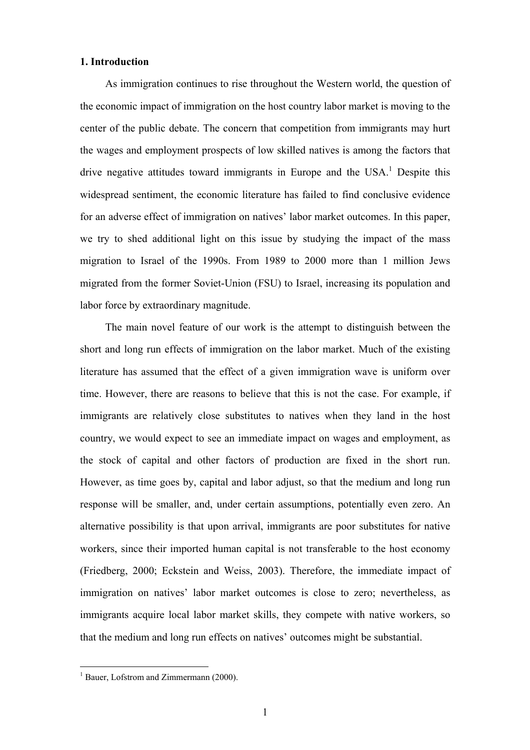### **1. Introduction**

As immigration continues to rise throughout the Western world, the question of the economic impact of immigration on the host country labor market is moving to the center of the public debate. The concern that competition from immigrants may hurt the wages and employment prospects of low skilled natives is among the factors that drive negative attitudes toward immigrants in Europe and the  $USA<sup>1</sup>$  Despite this widespread sentiment, the economic literature has failed to find conclusive evidence for an adverse effect of immigration on natives' labor market outcomes. In this paper, we try to shed additional light on this issue by studying the impact of the mass migration to Israel of the 1990s. From 1989 to 2000 more than 1 million Jews migrated from the former Soviet-Union (FSU) to Israel, increasing its population and labor force by extraordinary magnitude.

The main novel feature of our work is the attempt to distinguish between the short and long run effects of immigration on the labor market. Much of the existing literature has assumed that the effect of a given immigration wave is uniform over time. However, there are reasons to believe that this is not the case. For example, if immigrants are relatively close substitutes to natives when they land in the host country, we would expect to see an immediate impact on wages and employment, as the stock of capital and other factors of production are fixed in the short run. However, as time goes by, capital and labor adjust, so that the medium and long run response will be smaller, and, under certain assumptions, potentially even zero. An alternative possibility is that upon arrival, immigrants are poor substitutes for native workers, since their imported human capital is not transferable to the host economy (Friedberg, 2000; Eckstein and Weiss, 2003). Therefore, the immediate impact of immigration on natives' labor market outcomes is close to zero; nevertheless, as immigrants acquire local labor market skills, they compete with native workers, so that the medium and long run effects on natives' outcomes might be substantial.

 $\overline{a}$ 

<sup>&</sup>lt;sup>1</sup> Bauer, Lofstrom and Zimmermann (2000).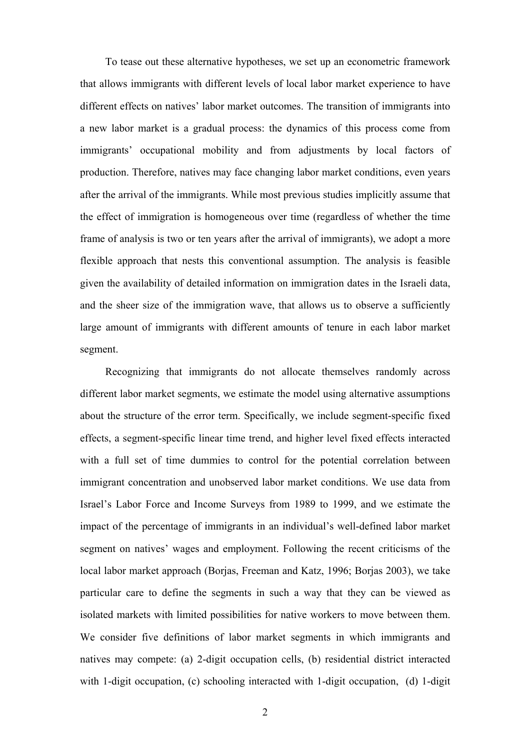To tease out these alternative hypotheses, we set up an econometric framework that allows immigrants with different levels of local labor market experience to have different effects on natives' labor market outcomes. The transition of immigrants into a new labor market is a gradual process: the dynamics of this process come from immigrants' occupational mobility and from adjustments by local factors of production. Therefore, natives may face changing labor market conditions, even years after the arrival of the immigrants. While most previous studies implicitly assume that the effect of immigration is homogeneous over time (regardless of whether the time frame of analysis is two or ten years after the arrival of immigrants), we adopt a more flexible approach that nests this conventional assumption. The analysis is feasible given the availability of detailed information on immigration dates in the Israeli data, and the sheer size of the immigration wave, that allows us to observe a sufficiently large amount of immigrants with different amounts of tenure in each labor market segment.

Recognizing that immigrants do not allocate themselves randomly across different labor market segments, we estimate the model using alternative assumptions about the structure of the error term. Specifically, we include segment-specific fixed effects, a segment-specific linear time trend, and higher level fixed effects interacted with a full set of time dummies to control for the potential correlation between immigrant concentration and unobserved labor market conditions. We use data from Israel's Labor Force and Income Surveys from 1989 to 1999, and we estimate the impact of the percentage of immigrants in an individual's well-defined labor market segment on natives' wages and employment. Following the recent criticisms of the local labor market approach (Borjas, Freeman and Katz, 1996; Borjas 2003), we take particular care to define the segments in such a way that they can be viewed as isolated markets with limited possibilities for native workers to move between them. We consider five definitions of labor market segments in which immigrants and natives may compete: (a) 2-digit occupation cells, (b) residential district interacted with 1-digit occupation, (c) schooling interacted with 1-digit occupation, (d) 1-digit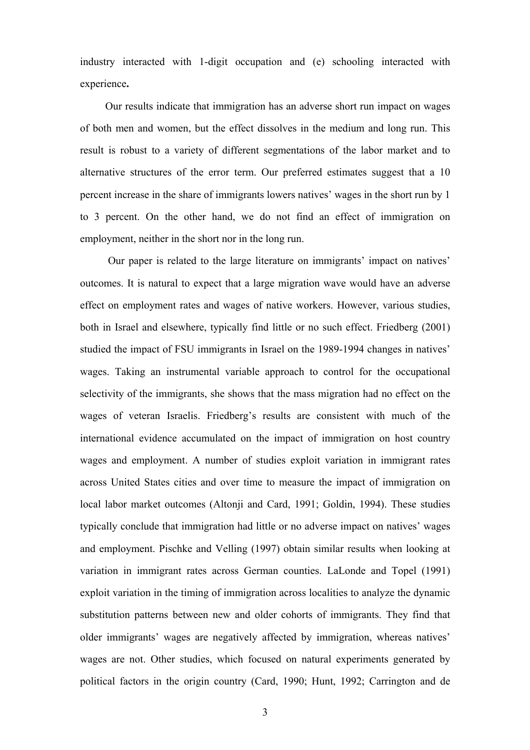industry interacted with 1-digit occupation and (e) schooling interacted with experience**.**

Our results indicate that immigration has an adverse short run impact on wages of both men and women, but the effect dissolves in the medium and long run. This result is robust to a variety of different segmentations of the labor market and to alternative structures of the error term. Our preferred estimates suggest that a 10 percent increase in the share of immigrants lowers natives' wages in the short run by 1 to 3 percent. On the other hand, we do not find an effect of immigration on employment, neither in the short nor in the long run.

Our paper is related to the large literature on immigrants' impact on natives' outcomes. It is natural to expect that a large migration wave would have an adverse effect on employment rates and wages of native workers. However, various studies, both in Israel and elsewhere, typically find little or no such effect. Friedberg (2001) studied the impact of FSU immigrants in Israel on the 1989-1994 changes in natives' wages. Taking an instrumental variable approach to control for the occupational selectivity of the immigrants, she shows that the mass migration had no effect on the wages of veteran Israelis. Friedberg's results are consistent with much of the international evidence accumulated on the impact of immigration on host country wages and employment. A number of studies exploit variation in immigrant rates across United States cities and over time to measure the impact of immigration on local labor market outcomes (Altonji and Card, 1991; Goldin, 1994). These studies typically conclude that immigration had little or no adverse impact on natives' wages and employment. Pischke and Velling (1997) obtain similar results when looking at variation in immigrant rates across German counties. LaLonde and Topel (1991) exploit variation in the timing of immigration across localities to analyze the dynamic substitution patterns between new and older cohorts of immigrants. They find that older immigrants' wages are negatively affected by immigration, whereas natives' wages are not. Other studies, which focused on natural experiments generated by political factors in the origin country (Card, 1990; Hunt, 1992; Carrington and de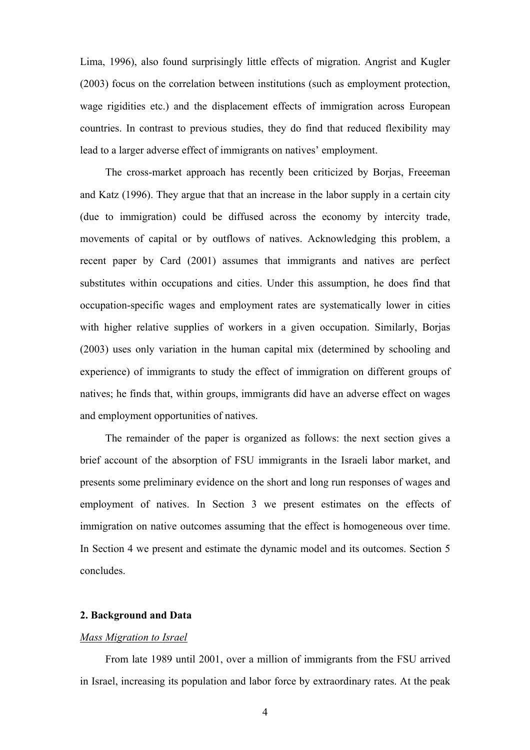Lima, 1996), also found surprisingly little effects of migration. Angrist and Kugler (2003) focus on the correlation between institutions (such as employment protection, wage rigidities etc.) and the displacement effects of immigration across European countries. In contrast to previous studies, they do find that reduced flexibility may lead to a larger adverse effect of immigrants on natives' employment.

The cross-market approach has recently been criticized by Borjas, Freeeman and Katz (1996). They argue that that an increase in the labor supply in a certain city (due to immigration) could be diffused across the economy by intercity trade, movements of capital or by outflows of natives. Acknowledging this problem, a recent paper by Card (2001) assumes that immigrants and natives are perfect substitutes within occupations and cities. Under this assumption, he does find that occupation-specific wages and employment rates are systematically lower in cities with higher relative supplies of workers in a given occupation. Similarly, Borjas (2003) uses only variation in the human capital mix (determined by schooling and experience) of immigrants to study the effect of immigration on different groups of natives; he finds that, within groups, immigrants did have an adverse effect on wages and employment opportunities of natives.

The remainder of the paper is organized as follows: the next section gives a brief account of the absorption of FSU immigrants in the Israeli labor market, and presents some preliminary evidence on the short and long run responses of wages and employment of natives. In Section 3 we present estimates on the effects of immigration on native outcomes assuming that the effect is homogeneous over time. In Section 4 we present and estimate the dynamic model and its outcomes. Section 5 concludes.

### **2. Background and Data**

#### *Mass Migration to Israel*

From late 1989 until 2001, over a million of immigrants from the FSU arrived in Israel, increasing its population and labor force by extraordinary rates. At the peak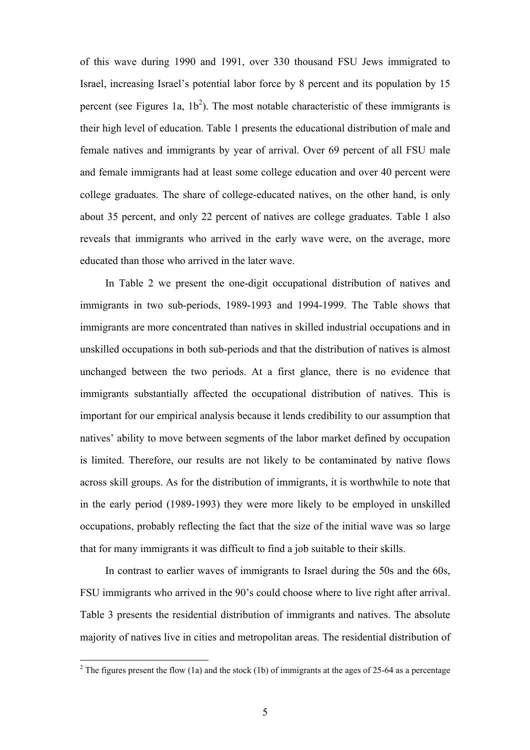of this wave during 1990 and 1991, over 330 thousand FSU Jews immigrated to Israel, increasing Israel's potential labor force by 8 percent and its population by 15 percent (see Figures 1a,  $1b<sup>2</sup>$ ). The most notable characteristic of these immigrants is their high level of education. Table 1 presents the educational distribution of male and female natives and immigrants by year of arrival. Over 69 percent of all FSU male and female immigrants had at least some college education and over 40 percent were college graduates. The share of college-educated natives, on the other hand, is only about 35 percent, and only 22 percent of natives are college graduates. Table 1 also reveals that immigrants who arrived in the early wave were, on the average, more educated than those who arrived in the later wave.

In Table 2 we present the one-digit occupational distribution of natives and immigrants in two sub-periods, 1989-1993 and 1994-1999. The Table shows that immigrants are more concentrated than natives in skilled industrial occupations and in unskilled occupations in both sub-periods and that the distribution of natives is almost unchanged between the two periods. At a first glance, there is no evidence that immigrants substantially affected the occupational distribution of natives. This is important for our empirical analysis because it lends credibility to our assumption that natives' ability to move between segments of the labor market defined by occupation is limited. Therefore, our results are not likely to be contaminated by native flows across skill groups. As for the distribution of immigrants, it is worthwhile to note that in the early period (1989-1993) they were more likely to be employed in unskilled occupations, probably reflecting the fact that the size of the initial wave was so large that for many immigrants it was difficult to find a job suitable to their skills.

In contrast to earlier waves of immigrants to Israel during the 50s and the 60s, FSU immigrants who arrived in the 90's could choose where to live right after arrival. Table 3 presents the residential distribution of immigrants and natives. The absolute majority of natives live in cities and metropolitan areas. The residential distribution of

 $\overline{a}$ 

<sup>&</sup>lt;sup>2</sup> The figures present the flow (1a) and the stock (1b) of immigrants at the ages of 25-64 as a percentage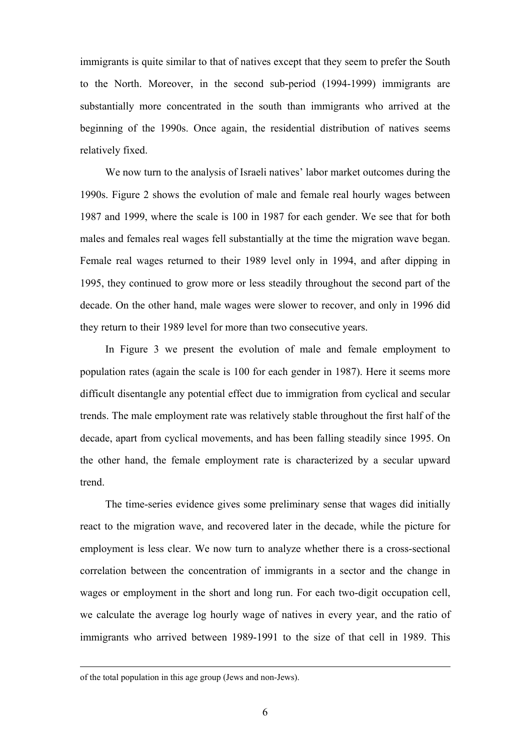immigrants is quite similar to that of natives except that they seem to prefer the South to the North. Moreover, in the second sub-period (1994-1999) immigrants are substantially more concentrated in the south than immigrants who arrived at the beginning of the 1990s. Once again, the residential distribution of natives seems relatively fixed.

We now turn to the analysis of Israeli natives' labor market outcomes during the 1990s. Figure 2 shows the evolution of male and female real hourly wages between 1987 and 1999, where the scale is 100 in 1987 for each gender. We see that for both males and females real wages fell substantially at the time the migration wave began. Female real wages returned to their 1989 level only in 1994, and after dipping in 1995, they continued to grow more or less steadily throughout the second part of the decade. On the other hand, male wages were slower to recover, and only in 1996 did they return to their 1989 level for more than two consecutive years.

In Figure 3 we present the evolution of male and female employment to population rates (again the scale is 100 for each gender in 1987). Here it seems more difficult disentangle any potential effect due to immigration from cyclical and secular trends. The male employment rate was relatively stable throughout the first half of the decade, apart from cyclical movements, and has been falling steadily since 1995. On the other hand, the female employment rate is characterized by a secular upward trend.

The time-series evidence gives some preliminary sense that wages did initially react to the migration wave, and recovered later in the decade, while the picture for employment is less clear. We now turn to analyze whether there is a cross-sectional correlation between the concentration of immigrants in a sector and the change in wages or employment in the short and long run. For each two-digit occupation cell, we calculate the average log hourly wage of natives in every year, and the ratio of immigrants who arrived between 1989-1991 to the size of that cell in 1989. This

of the total population in this age group (Jews and non-Jews).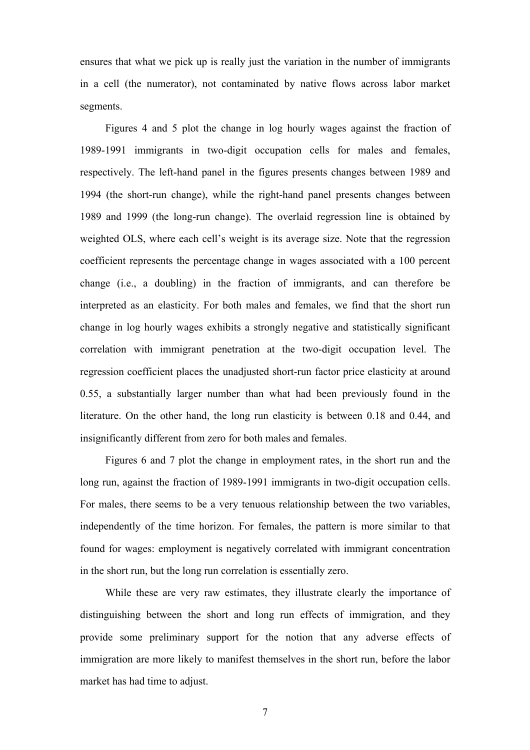ensures that what we pick up is really just the variation in the number of immigrants in a cell (the numerator), not contaminated by native flows across labor market segments.

Figures 4 and 5 plot the change in log hourly wages against the fraction of 1989-1991 immigrants in two-digit occupation cells for males and females, respectively. The left-hand panel in the figures presents changes between 1989 and 1994 (the short-run change), while the right-hand panel presents changes between 1989 and 1999 (the long-run change). The overlaid regression line is obtained by weighted OLS, where each cell's weight is its average size. Note that the regression coefficient represents the percentage change in wages associated with a 100 percent change (i.e., a doubling) in the fraction of immigrants, and can therefore be interpreted as an elasticity. For both males and females, we find that the short run change in log hourly wages exhibits a strongly negative and statistically significant correlation with immigrant penetration at the two-digit occupation level. The regression coefficient places the unadjusted short-run factor price elasticity at around 0.55, a substantially larger number than what had been previously found in the literature. On the other hand, the long run elasticity is between 0.18 and 0.44, and insignificantly different from zero for both males and females.

Figures 6 and 7 plot the change in employment rates, in the short run and the long run, against the fraction of 1989-1991 immigrants in two-digit occupation cells. For males, there seems to be a very tenuous relationship between the two variables, independently of the time horizon. For females, the pattern is more similar to that found for wages: employment is negatively correlated with immigrant concentration in the short run, but the long run correlation is essentially zero.

While these are very raw estimates, they illustrate clearly the importance of distinguishing between the short and long run effects of immigration, and they provide some preliminary support for the notion that any adverse effects of immigration are more likely to manifest themselves in the short run, before the labor market has had time to adjust.

7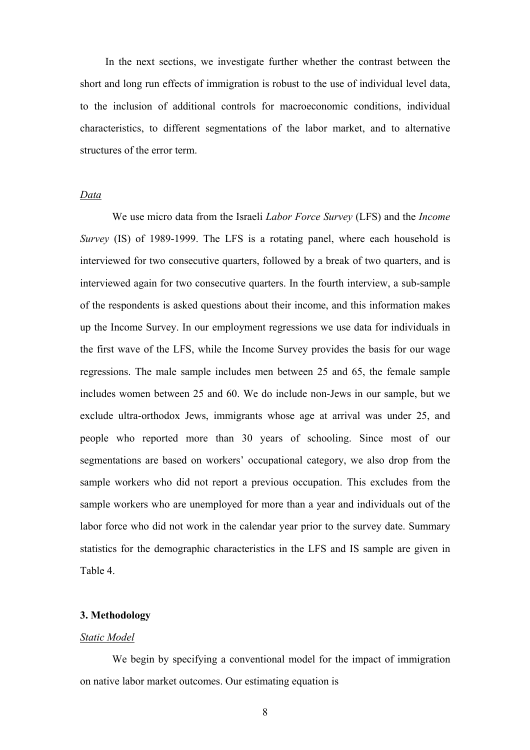In the next sections, we investigate further whether the contrast between the short and long run effects of immigration is robust to the use of individual level data, to the inclusion of additional controls for macroeconomic conditions, individual characteristics, to different segmentations of the labor market, and to alternative structures of the error term.

#### *Data*

We use micro data from the Israeli *Labor Force Survey* (LFS) and the *Income Survey* (IS) of 1989-1999. The LFS is a rotating panel, where each household is interviewed for two consecutive quarters, followed by a break of two quarters, and is interviewed again for two consecutive quarters. In the fourth interview, a sub-sample of the respondents is asked questions about their income, and this information makes up the Income Survey. In our employment regressions we use data for individuals in the first wave of the LFS, while the Income Survey provides the basis for our wage regressions. The male sample includes men between 25 and 65, the female sample includes women between 25 and 60. We do include non-Jews in our sample, but we exclude ultra-orthodox Jews, immigrants whose age at arrival was under 25, and people who reported more than 30 years of schooling. Since most of our segmentations are based on workers' occupational category, we also drop from the sample workers who did not report a previous occupation. This excludes from the sample workers who are unemployed for more than a year and individuals out of the labor force who did not work in the calendar year prior to the survey date. Summary statistics for the demographic characteristics in the LFS and IS sample are given in Table 4.

#### **3. Methodology**

#### *Static Model*

We begin by specifying a conventional model for the impact of immigration on native labor market outcomes. Our estimating equation is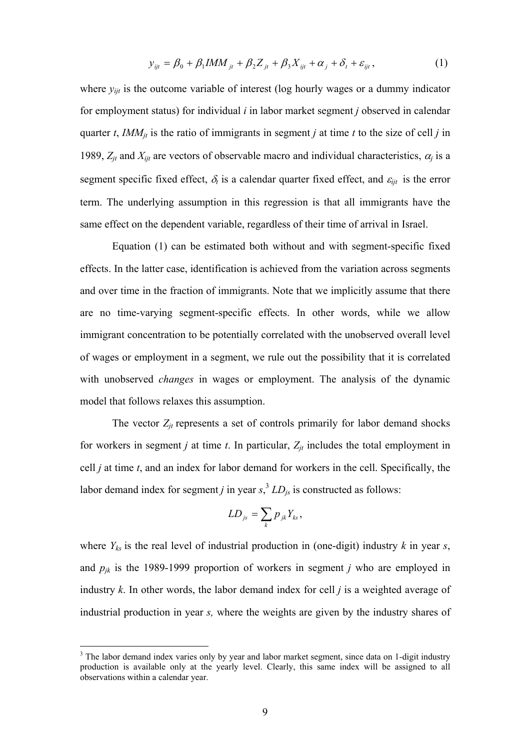$$
y_{ijt} = \beta_0 + \beta_1 IMM_{jt} + \beta_2 Z_{jt} + \beta_3 X_{ijt} + \alpha_j + \delta_t + \varepsilon_{ijt},
$$
 (1)

where  $y_{ijt}$  is the outcome variable of interest (log hourly wages or a dummy indicator for employment status) for individual *i* in labor market segment *j* observed in calendar quarter *t*, *IMM<sub>it</sub>* is the ratio of immigrants in segment *j* at time *t* to the size of cell *j* in 1989,  $Z_{jt}$  and  $X_{ijt}$  are vectors of observable macro and individual characteristics,  $\alpha_j$  is a segment specific fixed effect,  $\delta_t$  is a calendar quarter fixed effect, and  $\varepsilon_{i}$  is the error term. The underlying assumption in this regression is that all immigrants have the same effect on the dependent variable, regardless of their time of arrival in Israel.

Equation (1) can be estimated both without and with segment-specific fixed effects. In the latter case, identification is achieved from the variation across segments and over time in the fraction of immigrants. Note that we implicitly assume that there are no time-varying segment-specific effects. In other words, while we allow immigrant concentration to be potentially correlated with the unobserved overall level of wages or employment in a segment, we rule out the possibility that it is correlated with unobserved *changes* in wages or employment. The analysis of the dynamic model that follows relaxes this assumption.

The vector  $Z_{it}$  represents a set of controls primarily for labor demand shocks for workers in segment *j* at time *t*. In particular,  $Z_{it}$  includes the total employment in cell *j* at time *t*, and an index for labor demand for workers in the cell. Specifically, the labor demand index for segment *j* in year  $s$ ,<sup>3</sup>  $LD<sub>js</sub>$  is constructed as follows:

$$
LD_{js} = \sum_{k} p_{jk} Y_{ks},
$$

where *Yks* is the real level of industrial production in (one-digit) industry *k* in year *s*, and *pjk* is the 1989-1999 proportion of workers in segment *j* who are employed in industry *k*. In other words, the labor demand index for cell *j* is a weighted average of industrial production in year *s,* where the weights are given by the industry shares of

 $\overline{a}$ 

<sup>&</sup>lt;sup>3</sup> The labor demand index varies only by year and labor market segment, since data on 1-digit industry production is available only at the yearly level. Clearly, this same index will be assigned to all observations within a calendar year.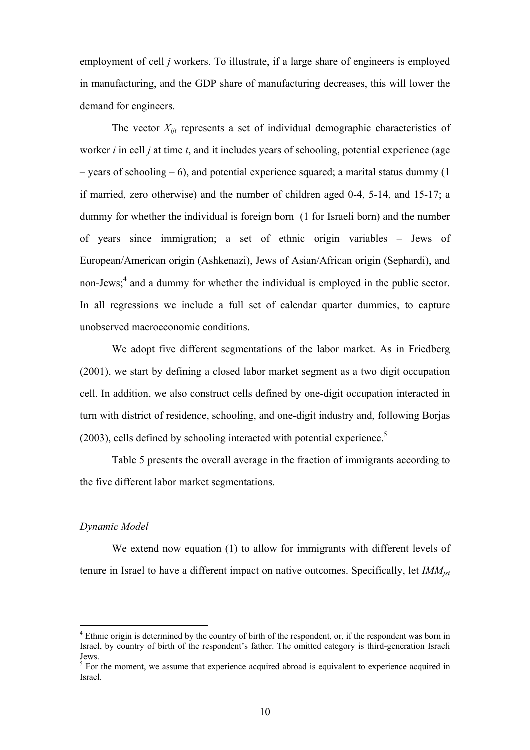employment of cell *j* workers. To illustrate, if a large share of engineers is employed in manufacturing, and the GDP share of manufacturing decreases, this will lower the demand for engineers.

The vector  $X_{ijt}$  represents a set of individual demographic characteristics of worker *i* in cell *j* at time *t*, and it includes years of schooling, potential experience (age – years of schooling – 6), and potential experience squared; a marital status dummy  $(1)$ if married, zero otherwise) and the number of children aged 0-4, 5-14, and 15-17; a dummy for whether the individual is foreign born (1 for Israeli born) and the number of years since immigration; a set of ethnic origin variables – Jews of European/American origin (Ashkenazi), Jews of Asian/African origin (Sephardi), and non-Jews;<sup>4</sup> and a dummy for whether the individual is employed in the public sector. In all regressions we include a full set of calendar quarter dummies, to capture unobserved macroeconomic conditions.

 We adopt five different segmentations of the labor market. As in Friedberg (2001), we start by defining a closed labor market segment as a two digit occupation cell. In addition, we also construct cells defined by one-digit occupation interacted in turn with district of residence, schooling, and one-digit industry and, following Borjas  $(2003)$ , cells defined by schooling interacted with potential experience.<sup>5</sup>

Table 5 presents the overall average in the fraction of immigrants according to the five different labor market segmentations.

#### *Dynamic Model*

 $\overline{a}$ 

We extend now equation (1) to allow for immigrants with different levels of tenure in Israel to have a different impact on native outcomes. Specifically, let *IMMjst*

<sup>&</sup>lt;sup>4</sup> Ethnic origin is determined by the country of birth of the respondent, or, if the respondent was born in Israel, by country of birth of the respondent's father. The omitted category is third-generation Israeli Jews.

 $5$  For the moment, we assume that experience acquired abroad is equivalent to experience acquired in Israel.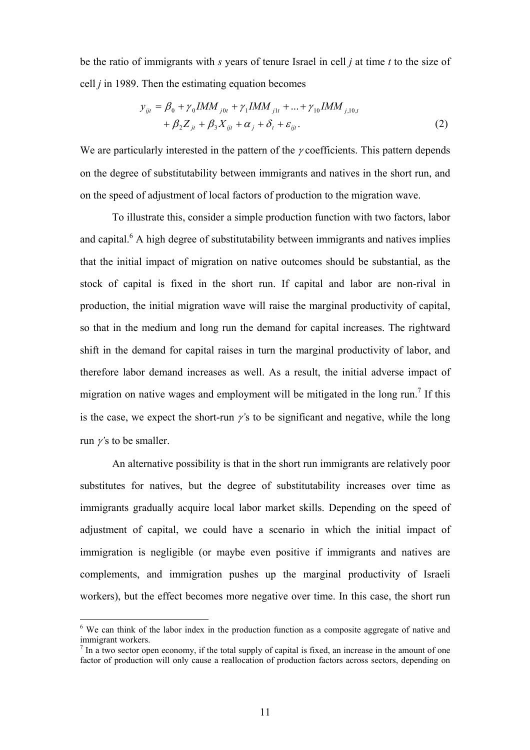be the ratio of immigrants with *s* years of tenure Israel in cell *j* at time *t* to the size of cell *j* in 1989. Then the estimating equation becomes

$$
y_{ijt} = \beta_0 + \gamma_0 IMM_{j0t} + \gamma_1 IMM_{j1t} + ... + \gamma_{10} IMM_{j,10,t} + \beta_2 Z_{jt} + \beta_3 X_{ijt} + \alpha_j + \delta_t + \varepsilon_{ijt}.
$$
 (2)

We are particularly interested in the pattern of the  $\gamma$  coefficients. This pattern depends on the degree of substitutability between immigrants and natives in the short run, and on the speed of adjustment of local factors of production to the migration wave.

 To illustrate this, consider a simple production function with two factors, labor and capital. $6$  A high degree of substitutability between immigrants and natives implies that the initial impact of migration on native outcomes should be substantial, as the stock of capital is fixed in the short run. If capital and labor are non-rival in production, the initial migration wave will raise the marginal productivity of capital, so that in the medium and long run the demand for capital increases. The rightward shift in the demand for capital raises in turn the marginal productivity of labor, and therefore labor demand increases as well. As a result, the initial adverse impact of migration on native wages and employment will be mitigated in the long run.<sup>7</sup> If this is the case, we expect the short-run γ*'*s to be significant and negative, while the long run γ*'*s to be smaller.

 An alternative possibility is that in the short run immigrants are relatively poor substitutes for natives, but the degree of substitutability increases over time as immigrants gradually acquire local labor market skills. Depending on the speed of adjustment of capital, we could have a scenario in which the initial impact of immigration is negligible (or maybe even positive if immigrants and natives are complements, and immigration pushes up the marginal productivity of Israeli workers), but the effect becomes more negative over time. In this case, the short run

 $\overline{a}$ 

<sup>&</sup>lt;sup>6</sup> We can think of the labor index in the production function as a composite aggregate of native and immigrant workers.

 $<sup>7</sup>$  In a two sector open economy, if the total supply of capital is fixed, an increase in the amount of one</sup> factor of production will only cause a reallocation of production factors across sectors, depending on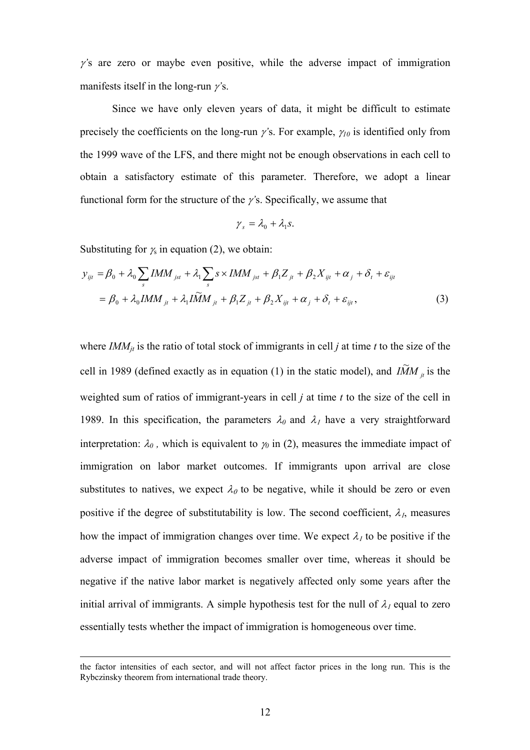<sup>γ</sup>*'*s are zero or maybe even positive, while the adverse impact of immigration manifests itself in the long-run γ*'*s.

 Since we have only eleven years of data, it might be difficult to estimate precisely the coefficients on the long-run  $\gamma$ 's. For example,  $\gamma_{10}$  is identified only from the 1999 wave of the LFS, and there might not be enough observations in each cell to obtain a satisfactory estimate of this parameter. Therefore, we adopt a linear functional form for the structure of the γ*'*s. Specifically, we assume that

$$
\gamma_s = \lambda_0 + \lambda_1 s.
$$

Substituting for  $\chi$  in equation (2), we obtain:

$$
y_{ijt} = \beta_0 + \lambda_0 \sum_s IMM_{jst} + \lambda_1 \sum_s s \times IMM_{jst} + \beta_1 Z_{jt} + \beta_2 X_{ijt} + \alpha_j + \delta_t + \varepsilon_{ijt}
$$
  
=  $\beta_0 + \lambda_0 IMM_{jt} + \lambda_1 I\widetilde{M}M_{jt} + \beta_1 Z_{jt} + \beta_2 X_{ijt} + \alpha_j + \delta_t + \varepsilon_{ijt}$ , (3)

where  $IMM_{it}$  is the ratio of total stock of immigrants in cell *j* at time *t* to the size of the cell in 1989 (defined exactly as in equation (1) in the static model), and  $\overline{IMM}_{ii}$  is the weighted sum of ratios of immigrant-years in cell *j* at time *t* to the size of the cell in 1989. In this specification, the parameters  $\lambda_0$  and  $\lambda_1$  have a very straightforward interpretation:  $\lambda_0$ , which is equivalent to  $\gamma_0$  in (2), measures the immediate impact of immigration on labor market outcomes. If immigrants upon arrival are close substitutes to natives, we expect  $\lambda_0$  to be negative, while it should be zero or even positive if the degree of substitutability is low. The second coefficient,  $\lambda_i$ , measures how the impact of immigration changes over time. We expect  $\lambda_1$  to be positive if the adverse impact of immigration becomes smaller over time, whereas it should be negative if the native labor market is negatively affected only some years after the initial arrival of immigrants. A simple hypothesis test for the null of  $\lambda_1$  equal to zero essentially tests whether the impact of immigration is homogeneous over time.

the factor intensities of each sector, and will not affect factor prices in the long run. This is the Rybczinsky theorem from international trade theory.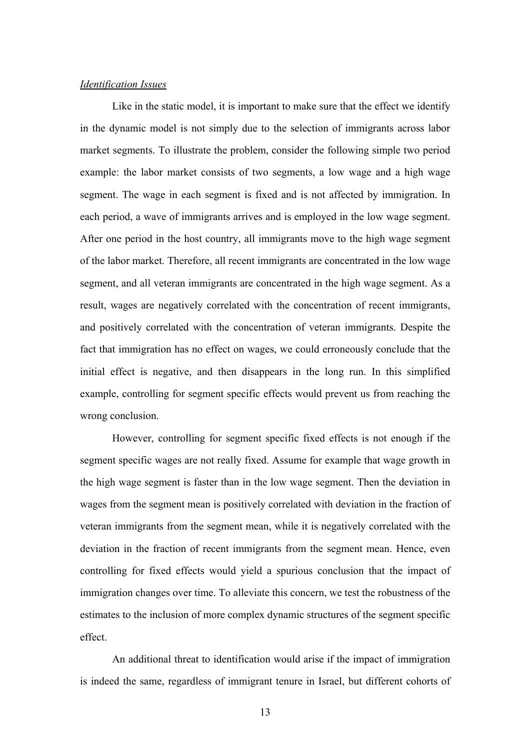### *Identification Issues*

Like in the static model, it is important to make sure that the effect we identify in the dynamic model is not simply due to the selection of immigrants across labor market segments. To illustrate the problem, consider the following simple two period example: the labor market consists of two segments, a low wage and a high wage segment. The wage in each segment is fixed and is not affected by immigration. In each period, a wave of immigrants arrives and is employed in the low wage segment. After one period in the host country, all immigrants move to the high wage segment of the labor market. Therefore, all recent immigrants are concentrated in the low wage segment, and all veteran immigrants are concentrated in the high wage segment. As a result, wages are negatively correlated with the concentration of recent immigrants, and positively correlated with the concentration of veteran immigrants. Despite the fact that immigration has no effect on wages, we could erroneously conclude that the initial effect is negative, and then disappears in the long run. In this simplified example, controlling for segment specific effects would prevent us from reaching the wrong conclusion.

 However, controlling for segment specific fixed effects is not enough if the segment specific wages are not really fixed. Assume for example that wage growth in the high wage segment is faster than in the low wage segment. Then the deviation in wages from the segment mean is positively correlated with deviation in the fraction of veteran immigrants from the segment mean, while it is negatively correlated with the deviation in the fraction of recent immigrants from the segment mean. Hence, even controlling for fixed effects would yield a spurious conclusion that the impact of immigration changes over time. To alleviate this concern, we test the robustness of the estimates to the inclusion of more complex dynamic structures of the segment specific effect.

 An additional threat to identification would arise if the impact of immigration is indeed the same, regardless of immigrant tenure in Israel, but different cohorts of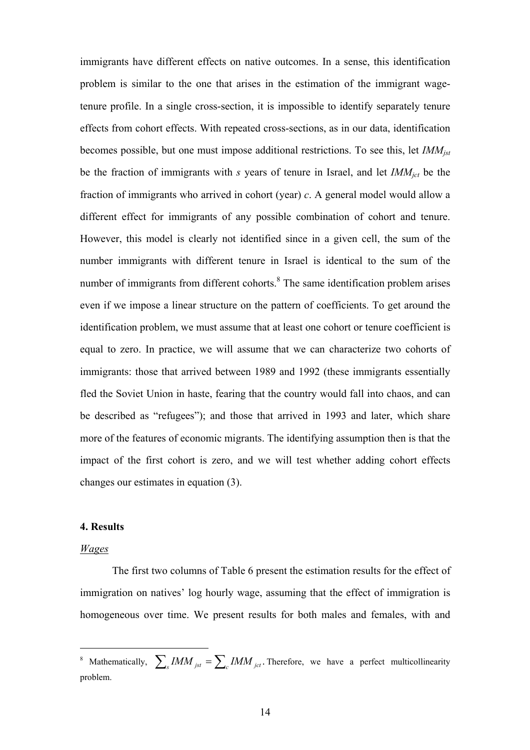immigrants have different effects on native outcomes. In a sense, this identification problem is similar to the one that arises in the estimation of the immigrant wagetenure profile. In a single cross-section, it is impossible to identify separately tenure effects from cohort effects. With repeated cross-sections, as in our data, identification becomes possible, but one must impose additional restrictions. To see this, let *IMMjst* be the fraction of immigrants with *s* years of tenure in Israel, and let *IMMjct* be the fraction of immigrants who arrived in cohort (year) *c*. A general model would allow a different effect for immigrants of any possible combination of cohort and tenure. However, this model is clearly not identified since in a given cell, the sum of the number immigrants with different tenure in Israel is identical to the sum of the number of immigrants from different cohorts. $8$  The same identification problem arises even if we impose a linear structure on the pattern of coefficients. To get around the identification problem, we must assume that at least one cohort or tenure coefficient is equal to zero. In practice, we will assume that we can characterize two cohorts of immigrants: those that arrived between 1989 and 1992 (these immigrants essentially fled the Soviet Union in haste, fearing that the country would fall into chaos, and can be described as "refugees"); and those that arrived in 1993 and later, which share more of the features of economic migrants. The identifying assumption then is that the impact of the first cohort is zero, and we will test whether adding cohort effects changes our estimates in equation (3).

### **4. Results**

### *Wages*

 $\overline{a}$ 

 The first two columns of Table 6 present the estimation results for the effect of immigration on natives' log hourly wage, assuming that the effect of immigration is homogeneous over time. We present results for both males and females, with and

<sup>&</sup>lt;sup>8</sup> Mathematically,  $\sum_{s} IMM_{jst} = \sum_{c} IMM_{jct}$ . Therefore, we have a perfect multicollinearity problem.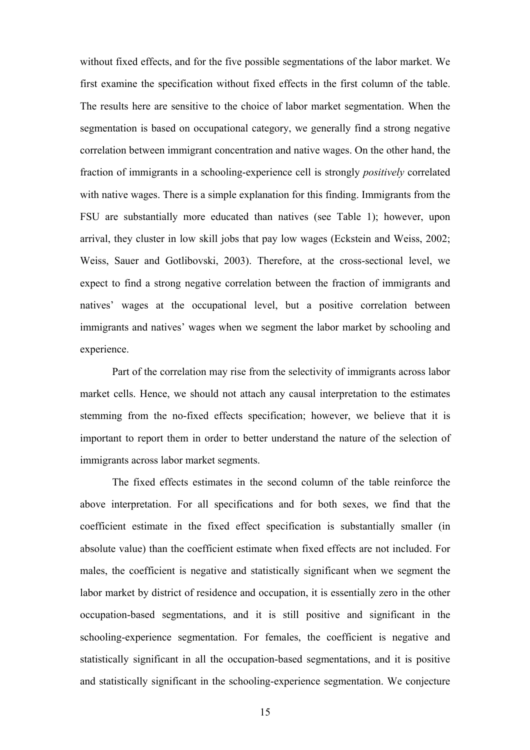without fixed effects, and for the five possible segmentations of the labor market. We first examine the specification without fixed effects in the first column of the table. The results here are sensitive to the choice of labor market segmentation. When the segmentation is based on occupational category, we generally find a strong negative correlation between immigrant concentration and native wages. On the other hand, the fraction of immigrants in a schooling-experience cell is strongly *positively* correlated with native wages. There is a simple explanation for this finding. Immigrants from the FSU are substantially more educated than natives (see Table 1); however, upon arrival, they cluster in low skill jobs that pay low wages (Eckstein and Weiss, 2002; Weiss, Sauer and Gotlibovski, 2003). Therefore, at the cross-sectional level, we expect to find a strong negative correlation between the fraction of immigrants and natives' wages at the occupational level, but a positive correlation between immigrants and natives' wages when we segment the labor market by schooling and experience.

Part of the correlation may rise from the selectivity of immigrants across labor market cells. Hence, we should not attach any causal interpretation to the estimates stemming from the no-fixed effects specification; however, we believe that it is important to report them in order to better understand the nature of the selection of immigrants across labor market segments.

 The fixed effects estimates in the second column of the table reinforce the above interpretation. For all specifications and for both sexes, we find that the coefficient estimate in the fixed effect specification is substantially smaller (in absolute value) than the coefficient estimate when fixed effects are not included. For males, the coefficient is negative and statistically significant when we segment the labor market by district of residence and occupation, it is essentially zero in the other occupation-based segmentations, and it is still positive and significant in the schooling-experience segmentation. For females, the coefficient is negative and statistically significant in all the occupation-based segmentations, and it is positive and statistically significant in the schooling-experience segmentation. We conjecture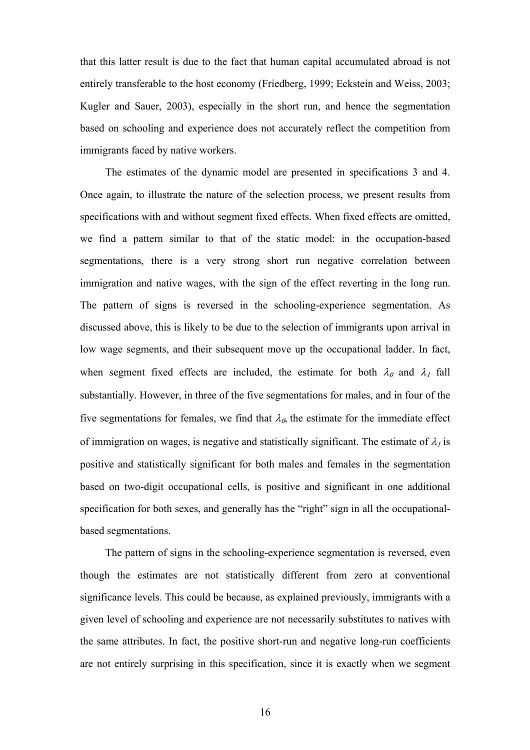that this latter result is due to the fact that human capital accumulated abroad is not entirely transferable to the host economy (Friedberg, 1999; Eckstein and Weiss, 2003; Kugler and Sauer, 2003), especially in the short run, and hence the segmentation based on schooling and experience does not accurately reflect the competition from immigrants faced by native workers.

The estimates of the dynamic model are presented in specifications 3 and 4. Once again, to illustrate the nature of the selection process, we present results from specifications with and without segment fixed effects. When fixed effects are omitted, we find a pattern similar to that of the static model: in the occupation-based segmentations, there is a very strong short run negative correlation between immigration and native wages, with the sign of the effect reverting in the long run. The pattern of signs is reversed in the schooling-experience segmentation. As discussed above, this is likely to be due to the selection of immigrants upon arrival in low wage segments, and their subsequent move up the occupational ladder. In fact, when segment fixed effects are included, the estimate for both  $\lambda_0$  and  $\lambda_1$  fall substantially. However, in three of the five segmentations for males, and in four of the five segmentations for females, we find that  $\lambda_{\alpha}$ , the estimate for the immediate effect of immigration on wages, is negative and statistically significant. The estimate of  $\lambda<sub>1</sub>$  is positive and statistically significant for both males and females in the segmentation based on two-digit occupational cells, is positive and significant in one additional specification for both sexes, and generally has the "right" sign in all the occupationalbased segmentations.

The pattern of signs in the schooling-experience segmentation is reversed, even though the estimates are not statistically different from zero at conventional significance levels. This could be because, as explained previously, immigrants with a given level of schooling and experience are not necessarily substitutes to natives with the same attributes. In fact, the positive short-run and negative long-run coefficients are not entirely surprising in this specification, since it is exactly when we segment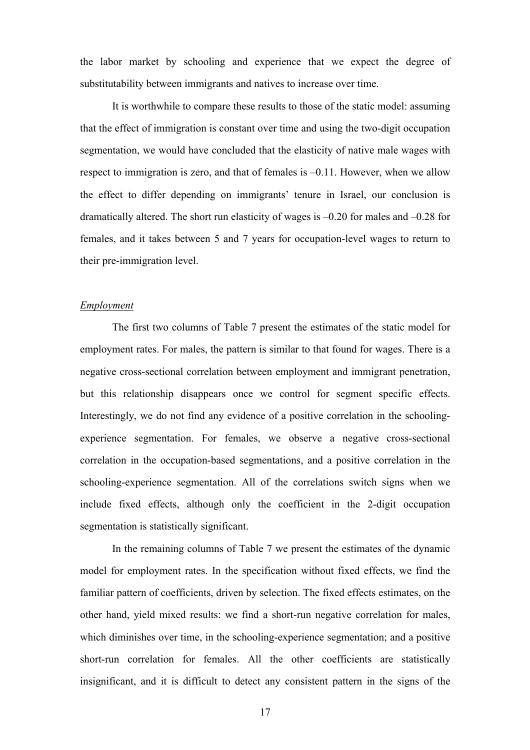the labor market by schooling and experience that we expect the degree of substitutability between immigrants and natives to increase over time.

It is worthwhile to compare these results to those of the static model: assuming that the effect of immigration is constant over time and using the two-digit occupation segmentation, we would have concluded that the elasticity of native male wages with respect to immigration is zero, and that of females is –0.11. However, when we allow the effect to differ depending on immigrants' tenure in Israel, our conclusion is dramatically altered. The short run elasticity of wages is –0.20 for males and –0.28 for females, and it takes between 5 and 7 years for occupation-level wages to return to their pre-immigration level.

#### *Employment*

The first two columns of Table 7 present the estimates of the static model for employment rates. For males, the pattern is similar to that found for wages. There is a negative cross-sectional correlation between employment and immigrant penetration, but this relationship disappears once we control for segment specific effects. Interestingly, we do not find any evidence of a positive correlation in the schoolingexperience segmentation. For females, we observe a negative cross-sectional correlation in the occupation-based segmentations, and a positive correlation in the schooling-experience segmentation. All of the correlations switch signs when we include fixed effects, although only the coefficient in the 2-digit occupation segmentation is statistically significant.

In the remaining columns of Table 7 we present the estimates of the dynamic model for employment rates. In the specification without fixed effects, we find the familiar pattern of coefficients, driven by selection. The fixed effects estimates, on the other hand, yield mixed results: we find a short-run negative correlation for males, which diminishes over time, in the schooling-experience segmentation; and a positive short-run correlation for females. All the other coefficients are statistically insignificant, and it is difficult to detect any consistent pattern in the signs of the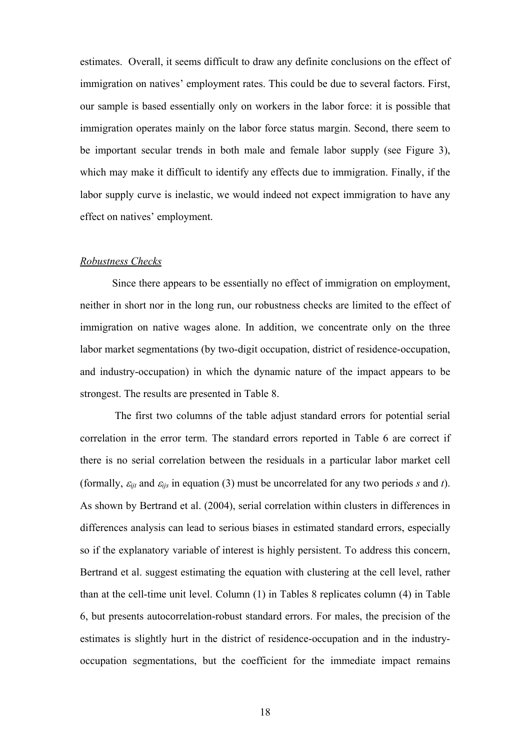estimates. Overall, it seems difficult to draw any definite conclusions on the effect of immigration on natives' employment rates. This could be due to several factors. First, our sample is based essentially only on workers in the labor force: it is possible that immigration operates mainly on the labor force status margin. Second, there seem to be important secular trends in both male and female labor supply (see Figure 3), which may make it difficult to identify any effects due to immigration. Finally, if the labor supply curve is inelastic, we would indeed not expect immigration to have any effect on natives' employment.

#### *Robustness Checks*

 Since there appears to be essentially no effect of immigration on employment, neither in short nor in the long run, our robustness checks are limited to the effect of immigration on native wages alone. In addition, we concentrate only on the three labor market segmentations (by two-digit occupation, district of residence-occupation, and industry-occupation) in which the dynamic nature of the impact appears to be strongest. The results are presented in Table 8.

 The first two columns of the table adjust standard errors for potential serial correlation in the error term. The standard errors reported in Table 6 are correct if there is no serial correlation between the residuals in a particular labor market cell (formally,  $\varepsilon_{ijt}$  and  $\varepsilon_{ijs}$  in equation (3) must be uncorrelated for any two periods *s* and *t*). As shown by Bertrand et al. (2004), serial correlation within clusters in differences in differences analysis can lead to serious biases in estimated standard errors, especially so if the explanatory variable of interest is highly persistent. To address this concern, Bertrand et al. suggest estimating the equation with clustering at the cell level, rather than at the cell-time unit level. Column (1) in Tables 8 replicates column (4) in Table 6, but presents autocorrelation-robust standard errors. For males, the precision of the estimates is slightly hurt in the district of residence-occupation and in the industryoccupation segmentations, but the coefficient for the immediate impact remains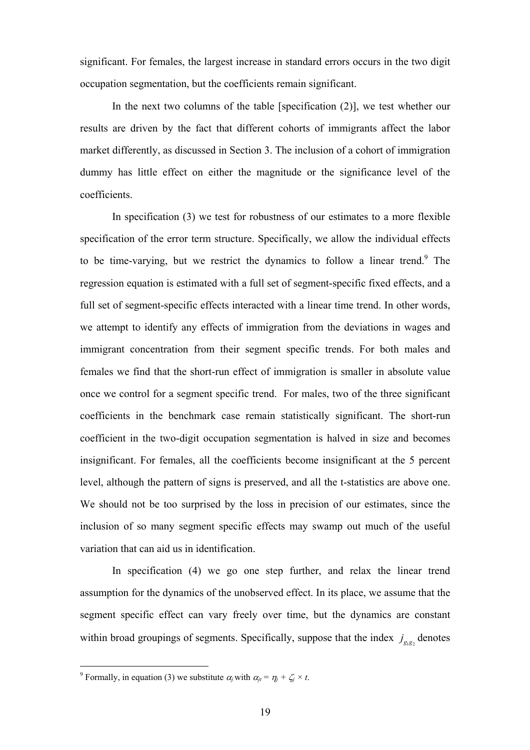significant. For females, the largest increase in standard errors occurs in the two digit occupation segmentation, but the coefficients remain significant.

In the next two columns of the table [specification  $(2)$ ], we test whether our results are driven by the fact that different cohorts of immigrants affect the labor market differently, as discussed in Section 3. The inclusion of a cohort of immigration dummy has little effect on either the magnitude or the significance level of the coefficients.

 In specification (3) we test for robustness of our estimates to a more flexible specification of the error term structure. Specifically, we allow the individual effects to be time-varying, but we restrict the dynamics to follow a linear trend.<sup>9</sup> The regression equation is estimated with a full set of segment-specific fixed effects, and a full set of segment-specific effects interacted with a linear time trend. In other words, we attempt to identify any effects of immigration from the deviations in wages and immigrant concentration from their segment specific trends. For both males and females we find that the short-run effect of immigration is smaller in absolute value once we control for a segment specific trend. For males, two of the three significant coefficients in the benchmark case remain statistically significant. The short-run coefficient in the two-digit occupation segmentation is halved in size and becomes insignificant. For females, all the coefficients become insignificant at the 5 percent level, although the pattern of signs is preserved, and all the t-statistics are above one. We should not be too surprised by the loss in precision of our estimates, since the inclusion of so many segment specific effects may swamp out much of the useful variation that can aid us in identification.

 In specification (4) we go one step further, and relax the linear trend assumption for the dynamics of the unobserved effect. In its place, we assume that the segment specific effect can vary freely over time, but the dynamics are constant within broad groupings of segments. Specifically, suppose that the index  $j_{\alpha, \alpha}$  denotes

<sup>&</sup>lt;sup>9</sup> Formally, in equation (3) we substitute  $\alpha_j$  with  $\alpha_{ji} = \eta_j + \zeta_j \times t$ .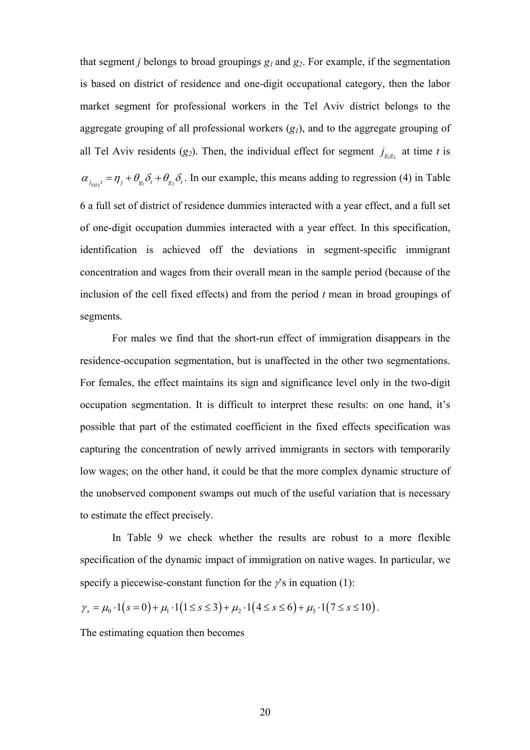that segment *j* belongs to broad groupings  $g_1$  and  $g_2$ . For example, if the segmentation is based on district of residence and one-digit occupational category, then the labor market segment for professional workers in the Tel Aviv district belongs to the aggregate grouping of all professional workers  $(g_1)$ , and to the aggregate grouping of all Tel Aviv residents ( $g_2$ ). Then, the individual effect for segment  $j_{g,g_2}$  at time *t* is  $\alpha_{j_{\text{gs}}t} = \eta_j + \theta_{g_1} \delta_t + \theta_{g_2} \delta_t$ . In our example, this means adding to regression (4) in Table 6 a full set of district of residence dummies interacted with a year effect, and a full set of one-digit occupation dummies interacted with a year effect. In this specification, identification is achieved off the deviations in segment-specific immigrant concentration and wages from their overall mean in the sample period (because of the inclusion of the cell fixed effects) and from the period *t* mean in broad groupings of segments.

 For males we find that the short-run effect of immigration disappears in the residence-occupation segmentation, but is unaffected in the other two segmentations. For females, the effect maintains its sign and significance level only in the two-digit occupation segmentation. It is difficult to interpret these results: on one hand, it's possible that part of the estimated coefficient in the fixed effects specification was capturing the concentration of newly arrived immigrants in sectors with temporarily low wages; on the other hand, it could be that the more complex dynamic structure of the unobserved component swamps out much of the useful variation that is necessary to estimate the effect precisely.

In Table 9 we check whether the results are robust to a more flexible specification of the dynamic impact of immigration on native wages. In particular, we specify a piecewise-constant function for the  $\gamma$ 's in equation (1):

$$
\gamma_s = \mu_0 \cdot 1(s=0) + \mu_1 \cdot 1(1 \le s \le 3) + \mu_2 \cdot 1(4 \le s \le 6) + \mu_3 \cdot 1(7 \le s \le 10).
$$

The estimating equation then becomes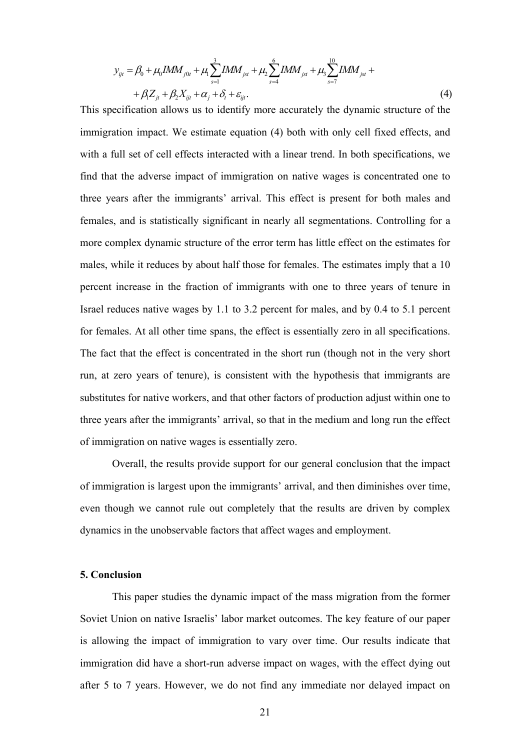$$
y_{ijt} = \beta_0 + \mu_0 IMM_{j0t} + \mu_1 \sum_{s=1}^3 IMM_{jst} + \mu_2 \sum_{s=4}^6 IMM_{jst} + \mu_3 \sum_{s=7}^{10} IMM_{jst} ++ \beta_1 Z_{jt} + \beta_2 X_{ijt} + \alpha_j + \delta_t + \varepsilon_{ijt}.
$$
 (4)

This specification allows us to identify more accurately the dynamic structure of the immigration impact. We estimate equation (4) both with only cell fixed effects, and with a full set of cell effects interacted with a linear trend. In both specifications, we find that the adverse impact of immigration on native wages is concentrated one to three years after the immigrants' arrival. This effect is present for both males and females, and is statistically significant in nearly all segmentations. Controlling for a more complex dynamic structure of the error term has little effect on the estimates for males, while it reduces by about half those for females. The estimates imply that a 10 percent increase in the fraction of immigrants with one to three years of tenure in Israel reduces native wages by 1.1 to 3.2 percent for males, and by 0.4 to 5.1 percent for females. At all other time spans, the effect is essentially zero in all specifications. The fact that the effect is concentrated in the short run (though not in the very short run, at zero years of tenure), is consistent with the hypothesis that immigrants are substitutes for native workers, and that other factors of production adjust within one to three years after the immigrants' arrival, so that in the medium and long run the effect of immigration on native wages is essentially zero.

Overall, the results provide support for our general conclusion that the impact of immigration is largest upon the immigrants' arrival, and then diminishes over time, even though we cannot rule out completely that the results are driven by complex dynamics in the unobservable factors that affect wages and employment.

#### **5. Conclusion**

This paper studies the dynamic impact of the mass migration from the former Soviet Union on native Israelis' labor market outcomes. The key feature of our paper is allowing the impact of immigration to vary over time. Our results indicate that immigration did have a short-run adverse impact on wages, with the effect dying out after 5 to 7 years. However, we do not find any immediate nor delayed impact on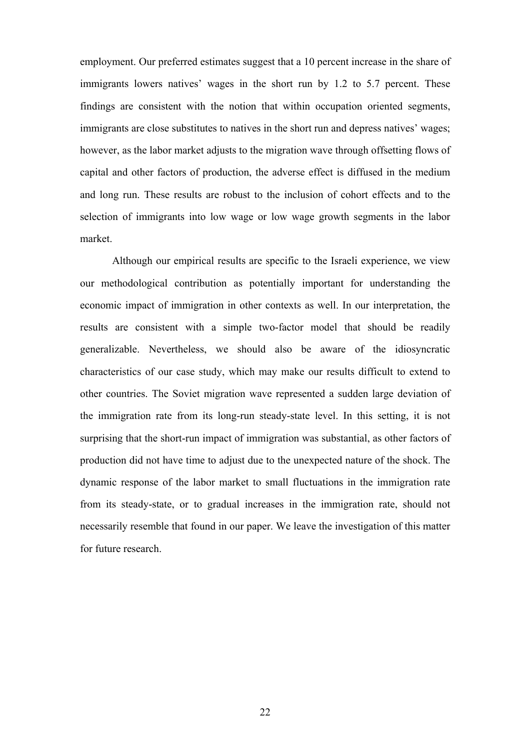employment. Our preferred estimates suggest that a 10 percent increase in the share of immigrants lowers natives' wages in the short run by 1.2 to 5.7 percent. These findings are consistent with the notion that within occupation oriented segments, immigrants are close substitutes to natives in the short run and depress natives' wages; however, as the labor market adjusts to the migration wave through offsetting flows of capital and other factors of production, the adverse effect is diffused in the medium and long run. These results are robust to the inclusion of cohort effects and to the selection of immigrants into low wage or low wage growth segments in the labor market.

Although our empirical results are specific to the Israeli experience, we view our methodological contribution as potentially important for understanding the economic impact of immigration in other contexts as well. In our interpretation, the results are consistent with a simple two-factor model that should be readily generalizable. Nevertheless, we should also be aware of the idiosyncratic characteristics of our case study, which may make our results difficult to extend to other countries. The Soviet migration wave represented a sudden large deviation of the immigration rate from its long-run steady-state level. In this setting, it is not surprising that the short-run impact of immigration was substantial, as other factors of production did not have time to adjust due to the unexpected nature of the shock. The dynamic response of the labor market to small fluctuations in the immigration rate from its steady-state, or to gradual increases in the immigration rate, should not necessarily resemble that found in our paper. We leave the investigation of this matter for future research.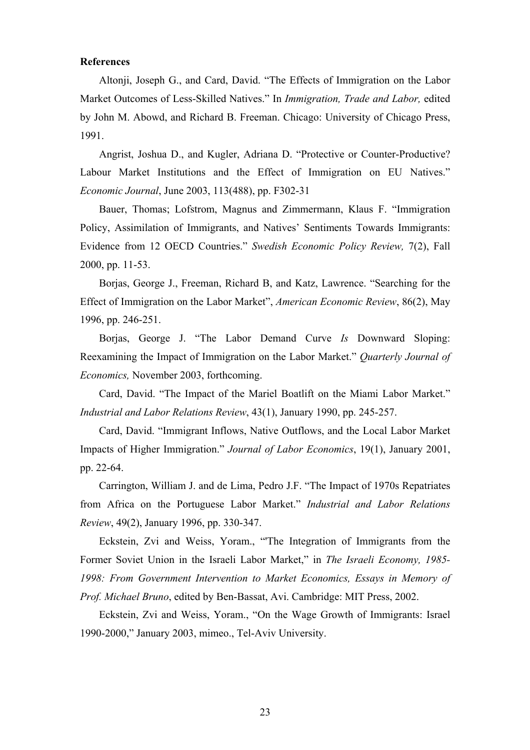### **References**

Altonji, Joseph G., and Card, David. "The Effects of Immigration on the Labor Market Outcomes of Less-Skilled Natives." In *Immigration, Trade and Labor,* edited by John M. Abowd, and Richard B. Freeman. Chicago: University of Chicago Press, 1991.

Angrist, Joshua D., and Kugler, Adriana D. "Protective or Counter-Productive? Labour Market Institutions and the Effect of Immigration on EU Natives." *Economic Journal*, June 2003, 113(488), pp. F302-31

Bauer, Thomas; Lofstrom, Magnus and Zimmermann, Klaus F. "Immigration Policy, Assimilation of Immigrants, and Natives' Sentiments Towards Immigrants: Evidence from 12 OECD Countries." *Swedish Economic Policy Review,* 7(2), Fall 2000, pp. 11-53.

Borjas, George J., Freeman, Richard B, and Katz, Lawrence. "Searching for the Effect of Immigration on the Labor Market", *American Economic Review*, 86(2), May 1996, pp. 246-251.

Borjas, George J. "The Labor Demand Curve *Is* Downward Sloping: Reexamining the Impact of Immigration on the Labor Market." *Quarterly Journal of Economics,* November 2003, forthcoming.

Card, David. "The Impact of the Mariel Boatlift on the Miami Labor Market." *Industrial and Labor Relations Review*, 43(1), January 1990, pp. 245-257.

Card, David. "Immigrant Inflows, Native Outflows, and the Local Labor Market Impacts of Higher Immigration." *Journal of Labor Economics*, 19(1), January 2001, pp. 22-64.

Carrington, William J. and de Lima, Pedro J.F. "The Impact of 1970s Repatriates from Africa on the Portuguese Labor Market." *Industrial and Labor Relations Review*, 49(2), January 1996, pp. 330-347.

Eckstein, Zvi and Weiss, Yoram., "'The Integration of Immigrants from the Former Soviet Union in the Israeli Labor Market," in *The Israeli Economy, 1985- 1998: From Government Intervention to Market Economics, Essays in Memory of Prof. Michael Bruno*, edited by Ben-Bassat, Avi. Cambridge: MIT Press, 2002.

Eckstein, Zvi and Weiss, Yoram., "On the Wage Growth of Immigrants: Israel 1990-2000," January 2003, mimeo., Tel-Aviv University.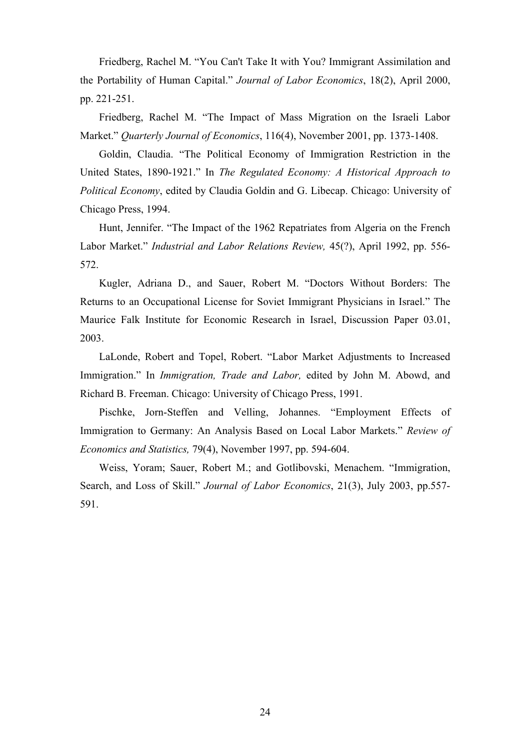Friedberg, Rachel M. "You Can't Take It with You? Immigrant Assimilation and the Portability of Human Capital." *Journal of Labor Economics*, 18(2), April 2000, pp. 221-251.

Friedberg, Rachel M. "The Impact of Mass Migration on the Israeli Labor Market." *Quarterly Journal of Economics*, 116(4), November 2001, pp. 1373-1408.

Goldin, Claudia. "The Political Economy of Immigration Restriction in the United States, 1890-1921." In *The Regulated Economy: A Historical Approach to Political Economy*, edited by Claudia Goldin and G. Libecap. Chicago: University of Chicago Press, 1994.

Hunt, Jennifer. "The Impact of the 1962 Repatriates from Algeria on the French Labor Market." *Industrial and Labor Relations Review,* 45(?), April 1992, pp. 556- 572.

Kugler, Adriana D., and Sauer, Robert M. "Doctors Without Borders: The Returns to an Occupational License for Soviet Immigrant Physicians in Israel." The Maurice Falk Institute for Economic Research in Israel, Discussion Paper 03.01, 2003.

LaLonde, Robert and Topel, Robert. "Labor Market Adjustments to Increased Immigration." In *Immigration, Trade and Labor,* edited by John M. Abowd, and Richard B. Freeman. Chicago: University of Chicago Press, 1991.

Pischke, Jorn-Steffen and Velling, Johannes. "Employment Effects of Immigration to Germany: An Analysis Based on Local Labor Markets." *Review of Economics and Statistics,* 79(4), November 1997, pp. 594-604.

Weiss, Yoram; Sauer, Robert M.; and Gotlibovski, Menachem. "Immigration, Search, and Loss of Skill." *Journal of Labor Economics*, 21(3), July 2003, pp.557- 591.

24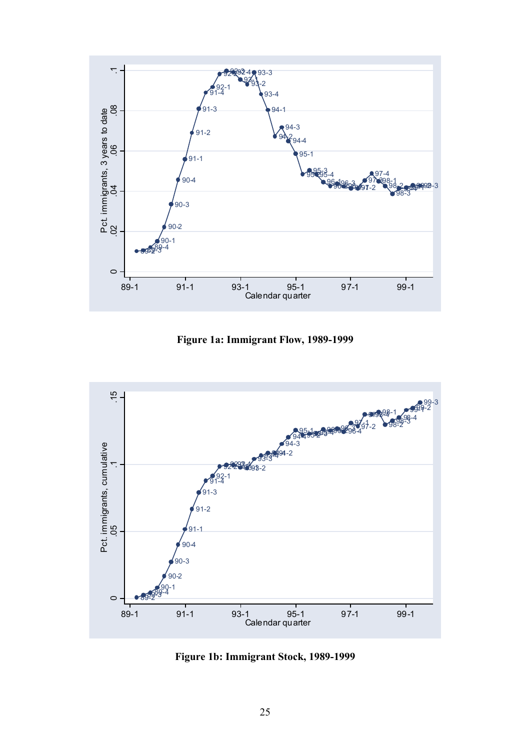

**Figure 1a: Immigrant Flow, 1989-1999** 



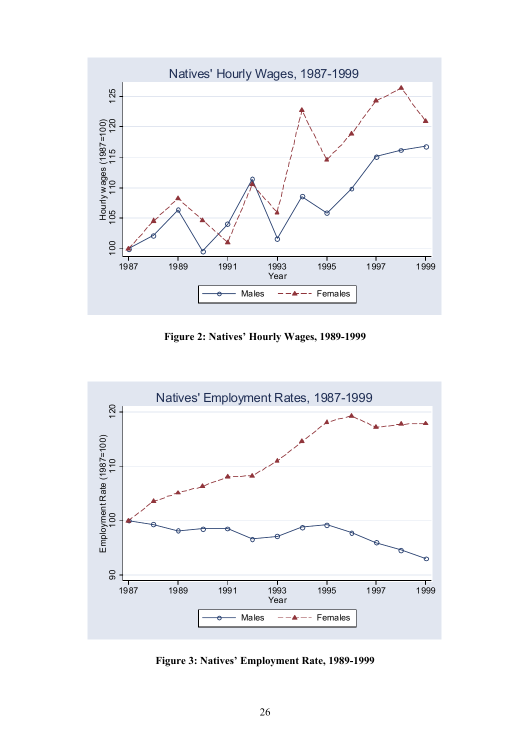

**Figure 2: Natives' Hourly Wages, 1989-1999** 



**Figure 3: Natives' Employment Rate, 1989-1999**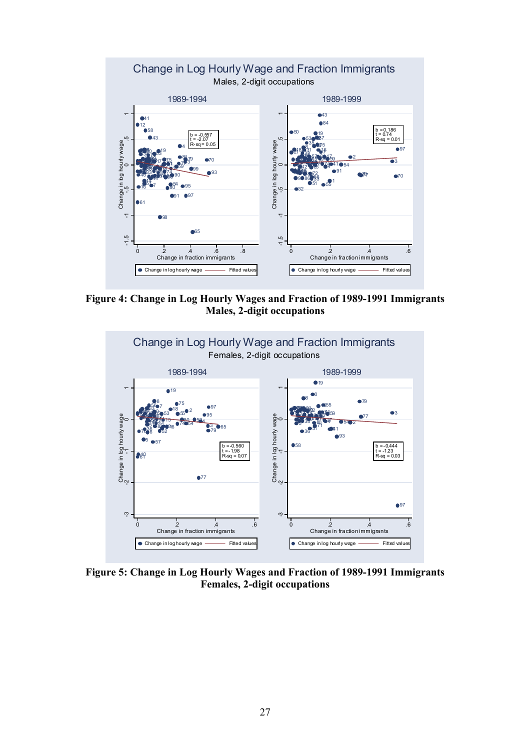

**Figure 4: Change in Log Hourly Wages and Fraction of 1989-1991 Immigrants Males, 2-digit occupations** 



**Figure 5: Change in Log Hourly Wages and Fraction of 1989-1991 Immigrants Females, 2-digit occupations**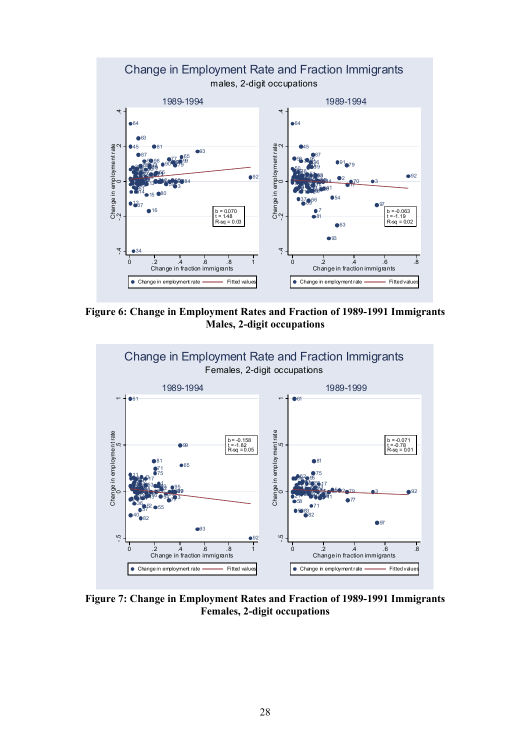

**Figure 6: Change in Employment Rates and Fraction of 1989-1991 Immigrants Males, 2-digit occupations** 



**Figure 7: Change in Employment Rates and Fraction of 1989-1991 Immigrants Females, 2-digit occupations**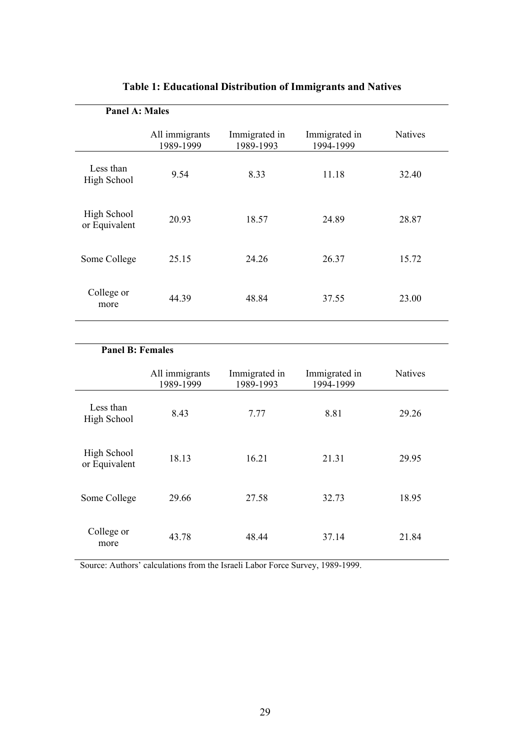| <b>Panel A: Males</b>        |                             |                            |                            |                |
|------------------------------|-----------------------------|----------------------------|----------------------------|----------------|
|                              | All immigrants<br>1989-1999 | Immigrated in<br>1989-1993 | Immigrated in<br>1994-1999 | <b>Natives</b> |
| Less than<br>High School     | 9.54                        | 8.33                       | 11.18                      | 32.40          |
| High School<br>or Equivalent | 20.93                       | 18.57                      | 24.89                      | 28.87          |
| Some College                 | 25.15                       | 24.26                      | 26.37                      | 15.72          |
| College or<br>more           | 44.39                       | 48.84                      | 37.55                      | 23.00          |

# **Table 1: Educational Distribution of Immigrants and Natives**

# **Panel B: Females**

|                              | All immigrants<br>1989-1999 | Immigrated in<br>1989-1993 | Immigrated in<br>1994-1999 | <b>Natives</b> |
|------------------------------|-----------------------------|----------------------------|----------------------------|----------------|
| Less than<br>High School     | 8.43                        | 7.77                       | 8.81                       | 29.26          |
| High School<br>or Equivalent | 18.13                       | 16.21                      | 21.31                      | 29.95          |
| Some College                 | 29.66                       | 27.58                      | 32.73                      | 18.95          |
| College or<br>more           | 43.78                       | 48.44                      | 37.14                      | 21.84          |

Source: Authors' calculations from the Israeli Labor Force Survey, 1989-1999.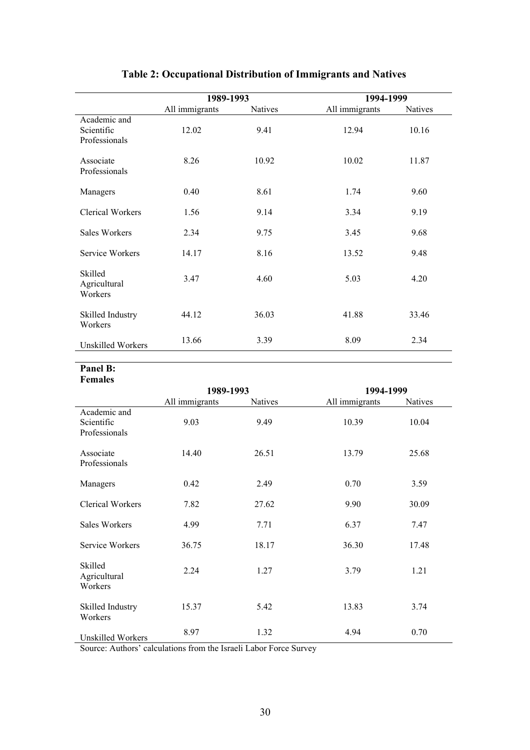|                                             | 1989-1993      |                | 1994-1999      |                |
|---------------------------------------------|----------------|----------------|----------------|----------------|
|                                             | All immigrants | <b>Natives</b> | All immigrants | <b>Natives</b> |
| Academic and<br>Scientific<br>Professionals | 12.02          | 9.41           | 12.94          | 10.16          |
| Associate<br>Professionals                  | 8.26           | 10.92          | 10.02          | 11.87          |
| Managers                                    | 0.40           | 8.61           | 1.74           | 9.60           |
| <b>Clerical Workers</b>                     | 1.56           | 9.14           | 3.34           | 9.19           |
| Sales Workers                               | 2.34           | 9.75           | 3.45           | 9.68           |
| Service Workers                             | 14.17          | 8.16           | 13.52          | 9.48           |
| Skilled<br>Agricultural<br>Workers          | 3.47           | 4.60           | 5.03           | 4.20           |
| Skilled Industry<br>Workers                 | 44.12          | 36.03          | 41.88          | 33.46          |
| <b>Unskilled Workers</b>                    | 13.66          | 3.39           | 8.09           | 2.34           |

# **Table 2: Occupational Distribution of Immigrants and Natives**

#### **Panel B: Females**

|                                             | 1989-1993      |         | 1994-1999      |         |  |
|---------------------------------------------|----------------|---------|----------------|---------|--|
|                                             | All immigrants | Natives | All immigrants | Natives |  |
| Academic and<br>Scientific<br>Professionals | 9.03           | 9.49    | 10.39          | 10.04   |  |
| Associate<br>Professionals                  | 14.40          | 26.51   | 13.79          | 25.68   |  |
| Managers                                    | 0.42           | 2.49    | 0.70           | 3.59    |  |
| <b>Clerical Workers</b>                     | 7.82           | 27.62   | 9.90           | 30.09   |  |
| <b>Sales Workers</b>                        | 4.99           | 7.71    | 6.37           | 7.47    |  |
| Service Workers                             | 36.75          | 18.17   | 36.30          | 17.48   |  |
| Skilled<br>Agricultural<br>Workers          | 2.24           | 1.27    | 3.79           | 1.21    |  |
| Skilled Industry<br>Workers                 | 15.37          | 5.42    | 13.83          | 3.74    |  |
| Unskilled Workers                           | 8.97           | 1.32    | 4.94           | 0.70    |  |

Source: Authors' calculations from the Israeli Labor Force Survey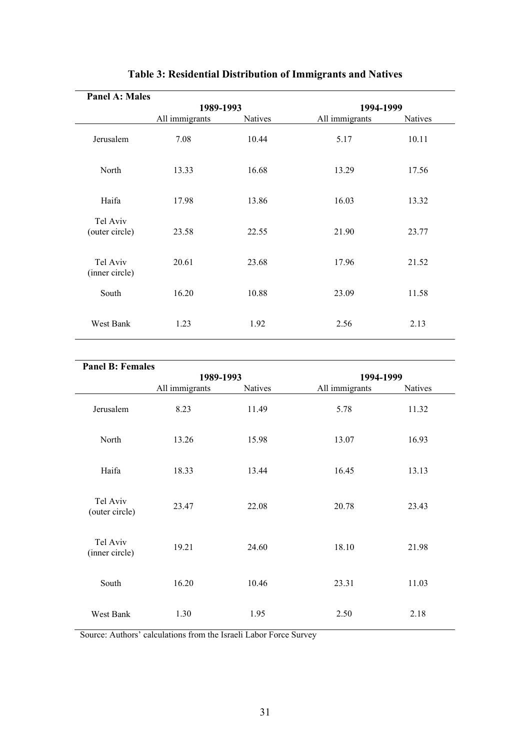| <b>Panel A: Males</b>      |                |                |                |                |  |
|----------------------------|----------------|----------------|----------------|----------------|--|
|                            | 1989-1993      |                | 1994-1999      |                |  |
|                            | All immigrants | <b>Natives</b> | All immigrants | <b>Natives</b> |  |
| Jerusalem                  | 7.08           | 10.44          | 5.17           | 10.11          |  |
| North                      | 13.33          | 16.68          | 13.29          | 17.56          |  |
| Haifa                      | 17.98          | 13.86          | 16.03          | 13.32          |  |
| Tel Aviv<br>(outer circle) | 23.58          | 22.55          | 21.90          | 23.77          |  |
| Tel Aviv<br>(inner circle) | 20.61          | 23.68          | 17.96          | 21.52          |  |
| South                      | 16.20          | 10.88          | 23.09          | 11.58          |  |
| West Bank                  | 1.23           | 1.92           | 2.56           | 2.13           |  |

# **Table 3: Residential Distribution of Immigrants and Natives**

| <b>Panel B: Females</b>    |                |         |                |         |
|----------------------------|----------------|---------|----------------|---------|
|                            | 1989-1993      |         | 1994-1999      |         |
|                            | All immigrants | Natives | All immigrants | Natives |
| Jerusalem                  | 8.23           | 11.49   | 5.78           | 11.32   |
| North                      | 13.26          | 15.98   | 13.07          | 16.93   |
| Haifa                      | 18.33          | 13.44   | 16.45          | 13.13   |
| Tel Aviv<br>(outer circle) | 23.47          | 22.08   | 20.78          | 23.43   |
| Tel Aviv<br>(inner circle) | 19.21          | 24.60   | 18.10          | 21.98   |
| South                      | 16.20          | 10.46   | 23.31          | 11.03   |
| West Bank                  | 1.30           | 1.95    | 2.50           | 2.18    |

Source: Authors' calculations from the Israeli Labor Force Survey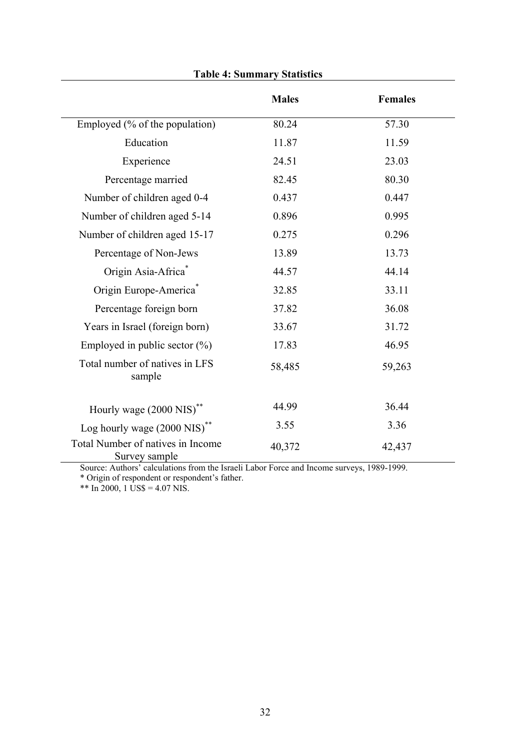|                                                    | <b>Males</b> | <b>Females</b> |
|----------------------------------------------------|--------------|----------------|
| Employed (% of the population)                     | 80.24        | 57.30          |
| Education                                          | 11.87        | 11.59          |
| Experience                                         | 24.51        | 23.03          |
| Percentage married                                 | 82.45        | 80.30          |
| Number of children aged 0-4                        | 0.437        | 0.447          |
| Number of children aged 5-14                       | 0.896        | 0.995          |
| Number of children aged 15-17                      | 0.275        | 0.296          |
| Percentage of Non-Jews                             | 13.89        | 13.73          |
| Origin Asia-Africa*                                | 44.57        | 44.14          |
| Origin Europe-America <sup>*</sup>                 | 32.85        | 33.11          |
| Percentage foreign born                            | 37.82        | 36.08          |
| Years in Israel (foreign born)                     | 33.67        | 31.72          |
| Employed in public sector $(\% )$                  | 17.83        | 46.95          |
| Total number of natives in LFS<br>sample           | 58,485       | 59,263         |
| Hourly wage (2000 NIS)**                           | 44.99        | 36.44          |
| Log hourly wage (2000 NIS)**                       | 3.55         | 3.36           |
| Total Number of natives in Income<br>Survey sample | 40,372       | 42,437         |

**Table 4: Summary Statistics** 

Source: Authors' calculations from the Israeli Labor Force and Income surveys, 1989-1999.

\* Origin of respondent or respondent's father.

\*\* In 2000, 1 US\$ = 4.07 NIS.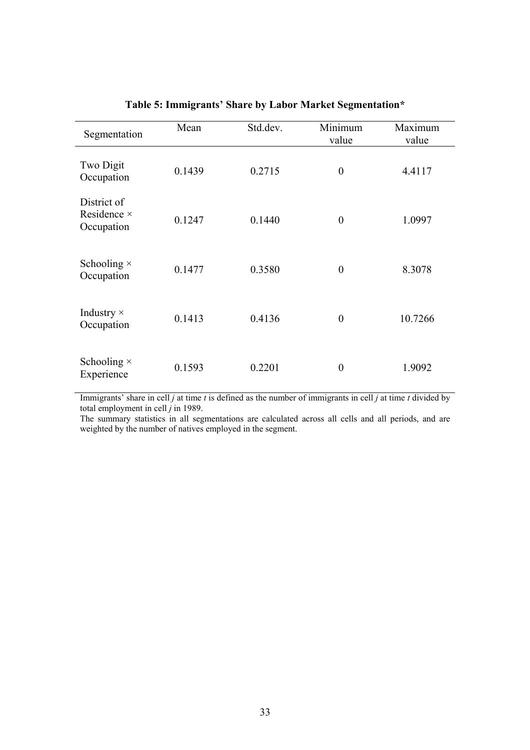| Segmentation                                    | Mean   | Std.dev. | Minimum<br>value | Maximum<br>value |
|-------------------------------------------------|--------|----------|------------------|------------------|
| Two Digit<br>Occupation                         | 0.1439 | 0.2715   | $\boldsymbol{0}$ | 4.4117           |
| District of<br>Residence $\times$<br>Occupation | 0.1247 | 0.1440   | $\overline{0}$   | 1.0997           |
| Schooling $\times$<br>Occupation                | 0.1477 | 0.3580   | $\theta$         | 8.3078           |
| Industry $\times$<br>Occupation                 | 0.1413 | 0.4136   | $\overline{0}$   | 10.7266          |
| Schooling $\times$<br>Experience                | 0.1593 | 0.2201   | $\overline{0}$   | 1.9092           |

## **Table 5: Immigrants' Share by Labor Market Segmentation\***

Immigrants' share in cell *j* at time *t* is defined as the number of immigrants in cell *j* at time *t* divided by total employment in cell  $\tilde{j}$  in 1989.

The summary statistics in all segmentations are calculated across all cells and all periods, and are weighted by the number of natives employed in the segment.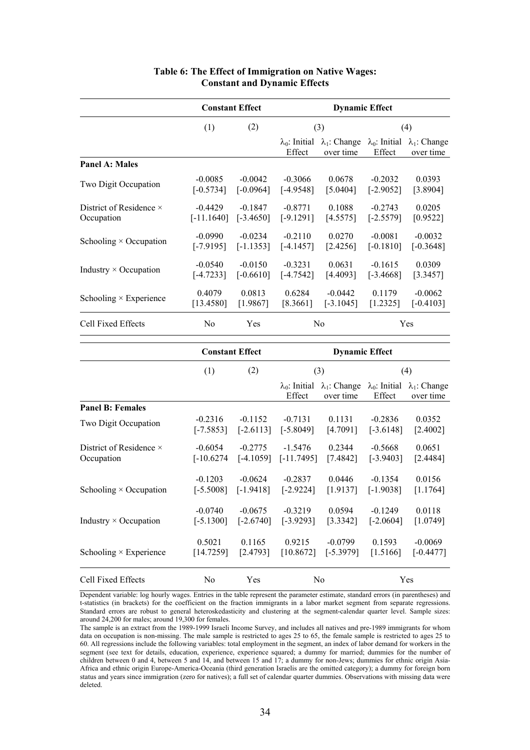|                                | <b>Constant Effect</b> |             | <b>Dynamic Effect</b>           |                                   |                                 |                                   |  |
|--------------------------------|------------------------|-------------|---------------------------------|-----------------------------------|---------------------------------|-----------------------------------|--|
|                                | (1)                    | (2)         |                                 | (3)                               |                                 | (4)                               |  |
|                                |                        |             | $\lambda_0$ : Initial<br>Effect | $\lambda_1$ : Change<br>over time | $\lambda_0$ : Initial<br>Effect | $\lambda_1$ : Change<br>over time |  |
| <b>Panel A: Males</b>          |                        |             |                                 |                                   |                                 |                                   |  |
| Two Digit Occupation           | $-0.0085$              | $-0.0042$   | $-0.3066$                       | 0.0678                            | $-0.2032$                       | 0.0393                            |  |
|                                | $[-0.5734]$            | $[-0.0964]$ | $[-4.9548]$                     | [5.0404]                          | $[-2.9052]$                     | [3.8904]                          |  |
| District of Residence $\times$ | $-0.4429$              | $-0.1847$   | $-0.8771$                       | 0.1088                            | $-0.2743$                       | 0.0205                            |  |
| Occupation                     | $[-11.1640]$           | $[-3.4650]$ | $[-9.1291]$                     | [4.5575]                          | $[-2.5579]$                     | [0.9522]                          |  |
| Schooling $\times$ Occupation  | $-0.0990$              | $-0.0234$   | $-0.2110$                       | 0.0270                            | $-0.0081$                       | $-0.0032$                         |  |
|                                | [-7.9195]              | $[-1.1353]$ | $[-4.1457]$                     | [2.4256]                          | [-0.1810]                       | $[-0.3648]$                       |  |
| Industry $\times$ Occupation   | $-0.0540$              | $-0.0150$   | $-0.3231$                       | 0.0631                            | $-0.1615$                       | 0.0309                            |  |
|                                | $[-4.7233]$            | $[-0.6610]$ | $[-4.7542]$                     | [4.4093]                          | $[-3.4668]$                     | [3.3457]                          |  |
| Schooling $\times$ Experience  | 0.4079                 | 0.0813      | 0.6284                          | $-0.0442$                         | 0.1179                          | $-0.0062$                         |  |
|                                | [13.4580]              | [1.9867]    | [8.3661]                        | $[-3.1045]$                       | [1.2325]                        | $[-0.4103]$                       |  |
| Cell Fixed Effects             | No                     | Yes         |                                 | No                                |                                 | Yes                               |  |

### **Table 6: The Effect of Immigration on Native Wages: Constant and Dynamic Effects**

|                                | <b>Constant Effect</b> |             | <b>Dynamic Effect</b>           |                                   |                                 |                                   |
|--------------------------------|------------------------|-------------|---------------------------------|-----------------------------------|---------------------------------|-----------------------------------|
|                                | (1)                    | (2)         |                                 | (3)                               | (4)                             |                                   |
|                                |                        |             | $\lambda_0$ : Initial<br>Effect | $\lambda_1$ : Change<br>over time | $\lambda_0$ : Initial<br>Effect | $\lambda_1$ : Change<br>over time |
| <b>Panel B: Females</b>        |                        |             |                                 |                                   |                                 |                                   |
| Two Digit Occupation           | $-0.2316$              | $-0.1152$   | $-0.7131$                       | 0.1131                            | $-0.2836$                       | 0.0352                            |
|                                | $[-7.5853]$            | $[-2.6113]$ | $[-5.8049]$                     | [4.7091]                          | $[-3.6148]$                     | [2.4002]                          |
| District of Residence $\times$ | $-0.6054$              | $-0.2775$   | $-1.5476$                       | 0.2344                            | $-0.5668$                       | 0.0651                            |
| Occupation                     | $[-10.6274]$           | $[-4.1059]$ | $[-11.7495]$                    | [7.4842]                          | $[-3.9403]$                     | [2.4484]                          |
| Schooling $\times$ Occupation  | $-0.1203$              | $-0.0624$   | $-0.2837$                       | 0.0446                            | $-0.1354$                       | 0.0156                            |
|                                | $[-5.5008]$            | $[-1.9418]$ | $[-2.9224]$                     | [1.9137]                          | $[-1.9038]$                     | [1.1764]                          |
| Industry $\times$ Occupation   | $-0.0740$              | $-0.0675$   | $-0.3219$                       | 0.0594                            | $-0.1249$                       | 0.0118                            |
|                                | $[-5.1300]$            | $[-2.6740]$ | $[-3.9293]$                     | [3.3342]                          | $[-2.0604]$                     | [1.0749]                          |
| Schooling $\times$ Experience  | 0.5021                 | 0.1165      | 0.9215                          | $-0.0799$                         | 0.1593                          | $-0.0069$                         |
|                                | [14.7259]              | [2.4793]    | [10.8672]                       | $[-5.3979]$                       | [1.5166]                        | $[-0.4477]$                       |
| Cell Fixed Effects             | N <sub>0</sub>         | Yes         |                                 | N <sub>0</sub>                    |                                 | Yes                               |

Dependent variable: log hourly wages. Entries in the table represent the parameter estimate, standard errors (in parentheses) and t-statistics (in brackets) for the coefficient on the fraction immigrants in a labor market segment from separate regressions. Standard errors are robust to general heteroskedasticity and clustering at the segment-calendar quarter level. Sample sizes: around 24,200 for males; around 19,300 for females.

The sample is an extract from the 1989-1999 Israeli Income Survey, and includes all natives and pre-1989 immigrants for whom data on occupation is non-missing. The male sample is restricted to ages 25 to 65, the female sample is restricted to ages 25 to 60. All regressions include the following variables: total employment in the segment, an index of labor demand for workers in the segment (see text for details, education, experience, experience squared; a dummy for married; dummies for the number of children between 0 and 4, between 5 and 14, and between 15 and 17; a dummy for non-Jews; dummies for ethnic origin Asia-Africa and ethnic origin Europe-America-Oceania (third generation Israelis are the omitted category); a dummy for foreign born status and years since immigration (zero for natives); a full set of calendar quarter dummies. Observations with missing data were deleted.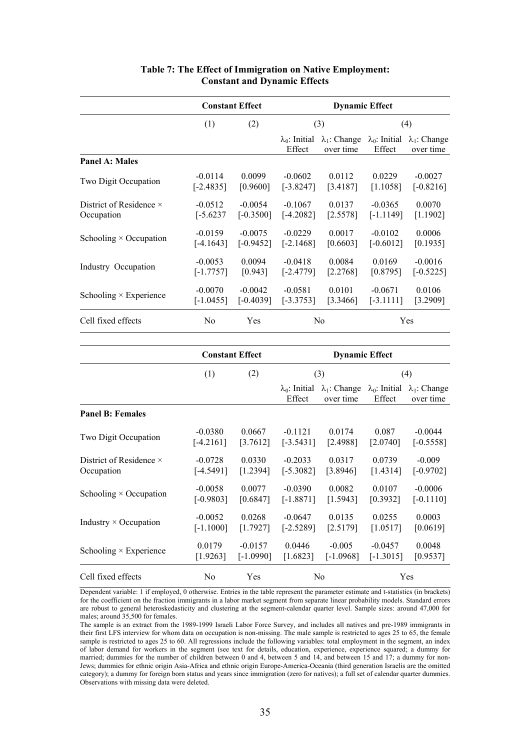|                                | <b>Constant Effect</b> |             | <b>Dynamic Effect</b>           |                                   |                                 |                                   |  |
|--------------------------------|------------------------|-------------|---------------------------------|-----------------------------------|---------------------------------|-----------------------------------|--|
|                                | (1)                    | (2)         |                                 | (3)                               |                                 | (4)                               |  |
|                                |                        |             | $\lambda_0$ : Initial<br>Effect | $\lambda_1$ : Change<br>over time | $\lambda_0$ : Initial<br>Effect | $\lambda_1$ : Change<br>over time |  |
| Panel A: Males                 |                        |             |                                 |                                   |                                 |                                   |  |
| Two Digit Occupation           | $-0.0114$              | 0.0099      | $-0.0602$                       | 0.0112                            | 0.0229                          | $-0.0027$                         |  |
|                                | $[-2.4835]$            | [0.9600]    | $[-3.8247]$                     | [3.4187]                          | [1.1058]                        | $[-0.8216]$                       |  |
| District of Residence $\times$ | $-0.0512$              | $-0.0054$   | $-0.1067$                       | 0.0137                            | $-0.0365$                       | 0.0070                            |  |
| Occupation                     | $[-5.6237]$            | $[-0.3500]$ | $[-4.2082]$                     | [2.5578]                          | $[-1.1149]$                     | [1.1902]                          |  |
| Schooling $\times$ Occupation  | $-0.0159$              | $-0.0075$   | $-0.0229$                       | 0.0017                            | $-0.0102$                       | 0.0006                            |  |
|                                | $[-4.1643]$            | $[-0.9452]$ | $[-2.1468]$                     | [0.6603]                          | $[-0.6012]$                     | [0.1935]                          |  |
| Industry Occupation            | $-0.0053$              | 0.0094      | $-0.0418$                       | 0.0084                            | 0.0169                          | $-0.0016$                         |  |
|                                | $[-1.7757]$            | [0.943]     | $[-2.4779]$                     | [2.2768]                          | [0.8795]                        | $[-0.5225]$                       |  |
| Schooling $\times$ Experience  | $-0.0070$              | $-0.0042$   | $-0.0581$                       | 0.0101                            | $-0.0671$                       | 0.0106                            |  |
|                                | $[-1.0455]$            | $[-0.4039]$ | $[-3.3753]$                     | [3.3466]                          | $[-3.1111]$                     | [3.2909]                          |  |
| Cell fixed effects             | No                     | Yes         |                                 | N <sub>0</sub>                    |                                 | Yes                               |  |

#### **Table 7: The Effect of Immigration on Native Employment: Constant and Dynamic Effects**

|                                | <b>Constant Effect</b> |             | <b>Dynamic Effect</b>           |                                   |                                 |                                   |  |
|--------------------------------|------------------------|-------------|---------------------------------|-----------------------------------|---------------------------------|-----------------------------------|--|
|                                | (1)                    | (2)         |                                 | (3)                               |                                 | (4)                               |  |
|                                |                        |             | $\lambda_0$ : Initial<br>Effect | $\lambda_1$ : Change<br>over time | $\lambda_0$ : Initial<br>Effect | $\lambda_1$ : Change<br>over time |  |
| <b>Panel B: Females</b>        |                        |             |                                 |                                   |                                 |                                   |  |
| Two Digit Occupation           | $-0.0380$              | 0.0667      | $-0.1121$                       | 0.0174                            | 0.087                           | $-0.0044$                         |  |
|                                | $[-4.2161]$            | [3.7612]    | $[-3.5431]$                     | [2.4988]                          | [2.0740]                        | $[-0.5558]$                       |  |
| District of Residence $\times$ | $-0.0728$              | 0.0330      | $-0.2033$                       | 0.0317                            | 0.0739                          | $-0.009$                          |  |
| Occupation                     | $[-4.5491]$            | [1.2394]    | $[-5.3082]$                     | [3.8946]                          | [1.4314]                        | $[-0.9702]$                       |  |
| Schooling $\times$ Occupation  | $-0.0058$              | 0.0077      | $-0.0390$                       | 0.0082                            | 0.0107                          | $-0.0006$                         |  |
|                                | $[-0.9803]$            | [0.6847]    | $[-1.8871]$                     | [1.5943]                          | [0.3932]                        | $[-0.1110]$                       |  |
| Industry $\times$ Occupation   | $-0.0052$              | 0.0268      | $-0.0647$                       | 0.0135                            | 0.0255                          | 0.0003                            |  |
|                                | $[-1.1000]$            | [1.7927]    | $[-2.5289]$                     | [2.5179]                          | [1.0517]                        | [0.0619]                          |  |
| Schooling $\times$ Experience  | 0.0179                 | $-0.0157$   | 0.0446                          | $-0.005$                          | $-0.0457$                       | 0.0048                            |  |
|                                | [1.9263]               | $[-1.0990]$ | [1.6823]                        | $[-1.0968]$                       | $[-1.3015]$                     | [0.9537]                          |  |
| Cell fixed effects             | N <sub>0</sub>         | Yes         |                                 | N <sub>0</sub>                    |                                 | Yes                               |  |

Dependent variable: 1 if employed, 0 otherwise. Entries in the table represent the parameter estimate and t-statistics (in brackets) for the coefficient on the fraction immigrants in a labor market segment from separate linear probability models. Standard errors are robust to general heteroskedasticity and clustering at the segment-calendar quarter level. Sample sizes: around 47,000 for males; around 35,500 for females.

The sample is an extract from the 1989-1999 Israeli Labor Force Survey, and includes all natives and pre-1989 immigrants in their first LFS interview for whom data on occupation is non-missing. The male sample is restricted to ages 25 to 65, the female sample is restricted to ages 25 to 60. All regressions include the following variables: total employment in the segment, an index of labor demand for workers in the segment (see text for details, education, experience, experience squared; a dummy for married; dummies for the number of children between 0 and 4, between 5 and 14, and between 15 and 17; a dummy for non-Jews; dummies for ethnic origin Asia-Africa and ethnic origin Europe-America-Oceania (third generation Israelis are the omitted category); a dummy for foreign born status and years since immigration (zero for natives); a full set of calendar quarter dummies. Observations with missing data were deleted.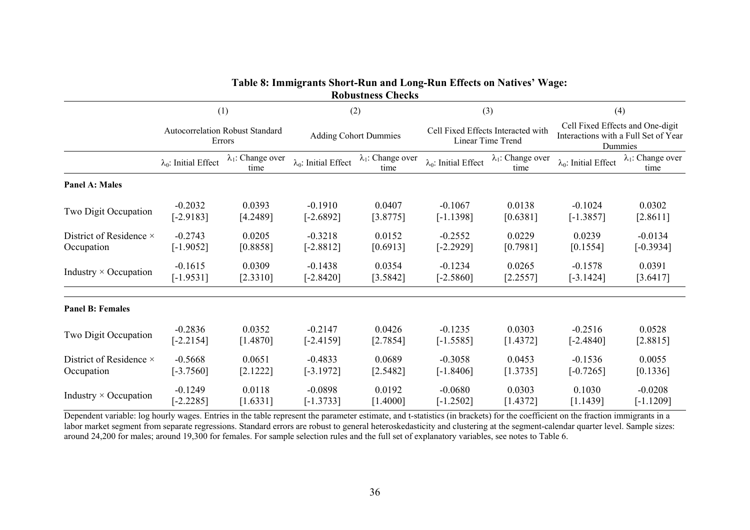|                              |                                                         |                                   |                                     | <b>RODUSTNESS CNECKS</b>          |                                                                |                                   |                                                                                            |                                   |
|------------------------------|---------------------------------------------------------|-----------------------------------|-------------------------------------|-----------------------------------|----------------------------------------------------------------|-----------------------------------|--------------------------------------------------------------------------------------------|-----------------------------------|
|                              | (1)<br><b>Autocorrelation Robust Standard</b><br>Errors |                                   | (2)<br><b>Adding Cohort Dummies</b> |                                   | (3)<br>Cell Fixed Effects Interacted with<br>Linear Time Trend |                                   | (4)<br>Cell Fixed Effects and One-digit<br>Interactions with a Full Set of Year<br>Dummies |                                   |
|                              |                                                         |                                   |                                     |                                   |                                                                |                                   |                                                                                            |                                   |
|                              | $\lambda_0$ : Initial Effect                            | $\lambda_1$ : Change over<br>time | $\lambda_0$ : Initial Effect        | $\lambda_1$ : Change over<br>time | $\lambda_0$ : Initial Effect                                   | $\lambda_1$ : Change over<br>time | $\lambda_0$ : Initial Effect                                                               | $\lambda_1$ : Change over<br>time |
| <b>Panel A: Males</b>        |                                                         |                                   |                                     |                                   |                                                                |                                   |                                                                                            |                                   |
| Two Digit Occupation         | $-0.2032$                                               | 0.0393                            | $-0.1910$                           | 0.0407                            | $-0.1067$                                                      | 0.0138                            | $-0.1024$                                                                                  | 0.0302                            |
|                              | $[-2.9183]$                                             | [4.2489]                          | $[-2.6892]$                         | [3.8775]                          | $[-1.1398]$                                                    | [0.6381]                          | $[-1.3857]$                                                                                | [2.8611]                          |
| District of Residence ×      | $-0.2743$                                               | 0.0205                            | $-0.3218$                           | 0.0152                            | $-0.2552$                                                      | 0.0229                            | 0.0239                                                                                     | $-0.0134$                         |
| Occupation                   | $[-1.9052]$                                             | [0.8858]                          | $[-2.8812]$                         | [0.6913]                          | $[-2.2929]$                                                    | [0.7981]                          | [0.1554]                                                                                   | $[-0.3934]$                       |
| Industry $\times$ Occupation | $-0.1615$                                               | 0.0309                            | $-0.1438$                           | 0.0354                            | $-0.1234$                                                      | 0.0265                            | $-0.1578$                                                                                  | 0.0391                            |
|                              | $[-1.9531]$                                             | [2.3310]                          | $[-2.8420]$                         | [3.5842]                          | $[-2.5860]$                                                    | [2.2557]                          | $[-3.1424]$                                                                                | [3.6417]                          |
| <b>Panel B: Females</b>      |                                                         |                                   |                                     |                                   |                                                                |                                   |                                                                                            |                                   |
| Two Digit Occupation         | $-0.2836$                                               | 0.0352                            | $-0.2147$                           | 0.0426                            | $-0.1235$                                                      | 0.0303                            | $-0.2516$                                                                                  | 0.0528                            |
|                              | $[-2.2154]$                                             | [1.4870]                          | $[-2.4159]$                         | [2.7854]                          | $[-1.5585]$                                                    | [1.4372]                          | $[-2.4840]$                                                                                | [2.8815]                          |
| District of Residence ×      | $-0.5668$                                               | 0.0651                            | $-0.4833$                           | 0.0689                            | $-0.3058$                                                      | 0.0453                            | $-0.1536$                                                                                  | 0.0055                            |
| Occupation                   | $[-3.7560]$                                             | [2.1222]                          | $[-3.1972]$                         | [2.5482]                          | $[-1.8406]$                                                    | [1.3735]                          | $[-0.7265]$                                                                                | [0.1336]                          |
| Industry $\times$ Occupation | $-0.1249$                                               | 0.0118                            | $-0.0898$                           | 0.0192                            | $-0.0680$                                                      | 0.0303                            | 0.1030                                                                                     | $-0.0208$                         |
|                              | $[-2.2285]$                                             | [1.6331]                          | $[-1.3733]$                         | [1.4000]                          | $[-1.2502]$                                                    | [1.4372]                          | [1.1439]                                                                                   | $[-1.1209]$                       |

**Table 8: Immigrants Short-Run and Long-Run Effects on Natives' Wage: Robustness Checks** 

Dependent variable: log hourly wages. Entries in the table represent the parameter estimate, and t-statistics (in brackets) for the coefficient on the fraction immigrants in a labor market segment from separate regressions. Standard errors are robust to general heteroskedasticity and clustering at the segment-calendar quarter level. Sample sizes: around 24,200 for males; around 19,300 for females. For sample selection rules and the full set of explanatory variables, see notes to Table 6.